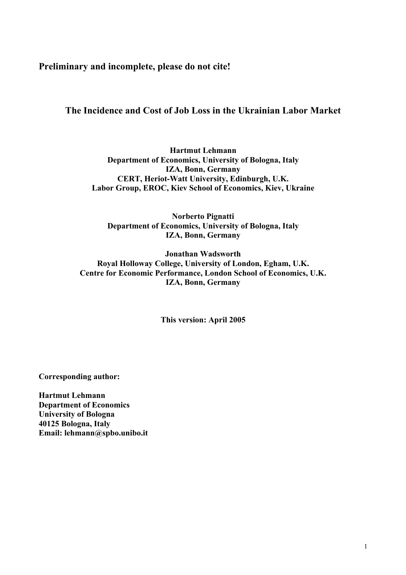**Preliminary and incomplete, please do not cite!** 

# **The Incidence and Cost of Job Loss in the Ukrainian Labor Market**

**Hartmut Lehmann Department of Economics, University of Bologna, Italy IZA, Bonn, Germany CERT, Heriot-Watt University, Edinburgh, U.K. Labor Group, EROC, Kiev School of Economics, Kiev, Ukraine** 

**Norberto Pignatti Department of Economics, University of Bologna, Italy IZA, Bonn, Germany** 

**Jonathan Wadsworth Royal Holloway College, University of London, Egham, U.K. Centre for Economic Performance, London School of Economics, U.K. IZA, Bonn, Germany** 

**This version: April 2005** 

**Corresponding author:** 

**Hartmut Lehmann Department of Economics University of Bologna 40125 Bologna, Italy Email: lehmann@spbo.unibo.it**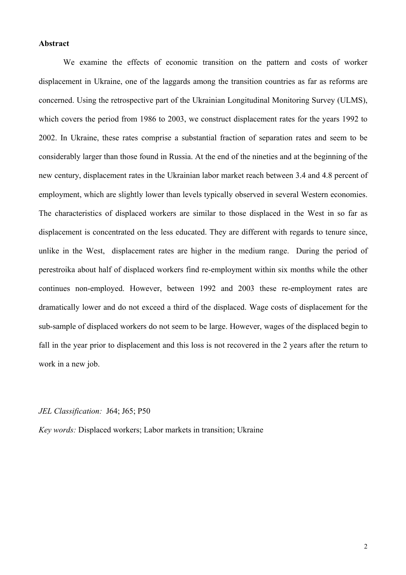#### **Abstract**

We examine the effects of economic transition on the pattern and costs of worker displacement in Ukraine, one of the laggards among the transition countries as far as reforms are concerned. Using the retrospective part of the Ukrainian Longitudinal Monitoring Survey (ULMS), which covers the period from 1986 to 2003, we construct displacement rates for the years 1992 to 2002. In Ukraine, these rates comprise a substantial fraction of separation rates and seem to be considerably larger than those found in Russia. At the end of the nineties and at the beginning of the new century, displacement rates in the Ukrainian labor market reach between 3.4 and 4.8 percent of employment, which are slightly lower than levels typically observed in several Western economies. The characteristics of displaced workers are similar to those displaced in the West in so far as displacement is concentrated on the less educated. They are different with regards to tenure since, unlike in the West, displacement rates are higher in the medium range. During the period of perestroika about half of displaced workers find re-employment within six months while the other continues non-employed. However, between 1992 and 2003 these re-employment rates are dramatically lower and do not exceed a third of the displaced. Wage costs of displacement for the sub-sample of displaced workers do not seem to be large. However, wages of the displaced begin to fall in the year prior to displacement and this loss is not recovered in the 2 years after the return to work in a new job.

### *JEL Classification:* J64; J65; P50

*Key words:* Displaced workers; Labor markets in transition; Ukraine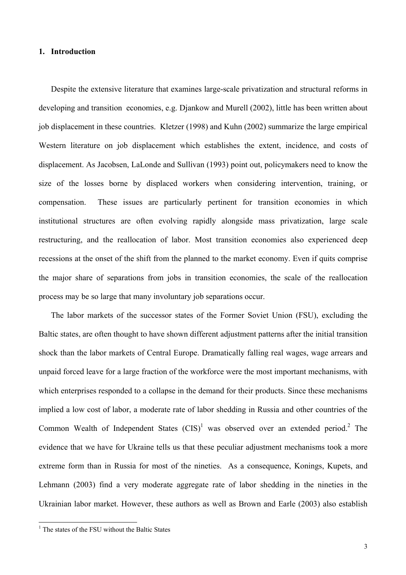### **1. Introduction**

Despite the extensive literature that examines large-scale privatization and structural reforms in developing and transition economies, e.g. Djankow and Murell (2002), little has been written about job displacement in these countries. Kletzer (1998) and Kuhn (2002) summarize the large empirical Western literature on job displacement which establishes the extent, incidence, and costs of displacement. As Jacobsen, LaLonde and Sullivan (1993) point out, policymakers need to know the size of the losses borne by displaced workers when considering intervention, training, or compensation. These issues are particularly pertinent for transition economies in which institutional structures are often evolving rapidly alongside mass privatization, large scale restructuring, and the reallocation of labor. Most transition economies also experienced deep recessions at the onset of the shift from the planned to the market economy. Even if quits comprise the major share of separations from jobs in transition economies, the scale of the reallocation process may be so large that many involuntary job separations occur.

The labor markets of the successor states of the Former Soviet Union (FSU), excluding the Baltic states, are often thought to have shown different adjustment patterns after the initial transition shock than the labor markets of Central Europe. Dramatically falling real wages, wage arrears and unpaid forced leave for a large fraction of the workforce were the most important mechanisms, with which enterprises responded to a collapse in the demand for their products. Since these mechanisms implied a low cost of labor, a moderate rate of labor shedding in Russia and other countries of the Common Wealth of Independent States  $(CIS)^1$  was observed over an extended period.<sup>2</sup> The evidence that we have for Ukraine tells us that these peculiar adjustment mechanisms took a more extreme form than in Russia for most of the nineties. As a consequence, Konings, Kupets, and Lehmann (2003) find a very moderate aggregate rate of labor shedding in the nineties in the Ukrainian labor market. However, these authors as well as Brown and Earle (2003) also establish

 1 The states of the FSU without the Baltic States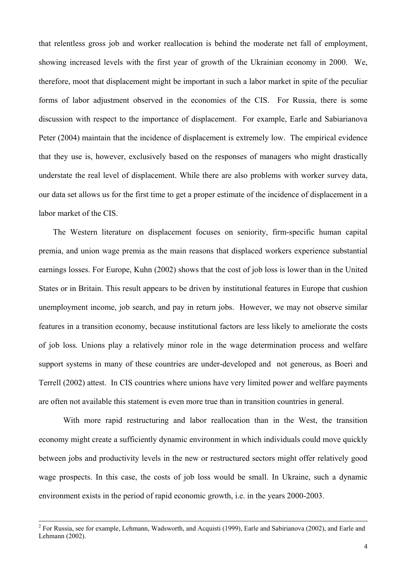that relentless gross job and worker reallocation is behind the moderate net fall of employment, showing increased levels with the first year of growth of the Ukrainian economy in 2000. We, therefore, moot that displacement might be important in such a labor market in spite of the peculiar forms of labor adjustment observed in the economies of the CIS. For Russia, there is some discussion with respect to the importance of displacement. For example, Earle and Sabiarianova Peter (2004) maintain that the incidence of displacement is extremely low. The empirical evidence that they use is, however, exclusively based on the responses of managers who might drastically understate the real level of displacement. While there are also problems with worker survey data, our data set allows us for the first time to get a proper estimate of the incidence of displacement in a labor market of the CIS.

 The Western literature on displacement focuses on seniority, firm-specific human capital premia, and union wage premia as the main reasons that displaced workers experience substantial earnings losses. For Europe, Kuhn (2002) shows that the cost of job loss is lower than in the United States or in Britain. This result appears to be driven by institutional features in Europe that cushion unemployment income, job search, and pay in return jobs. However, we may not observe similar features in a transition economy, because institutional factors are less likely to ameliorate the costs of job loss. Unions play a relatively minor role in the wage determination process and welfare support systems in many of these countries are under-developed and not generous, as Boeri and Terrell (2002) attest. In CIS countries where unions have very limited power and welfare payments are often not available this statement is even more true than in transition countries in general.

With more rapid restructuring and labor reallocation than in the West, the transition economy might create a sufficiently dynamic environment in which individuals could move quickly between jobs and productivity levels in the new or restructured sectors might offer relatively good wage prospects. In this case, the costs of job loss would be small. In Ukraine, such a dynamic environment exists in the period of rapid economic growth, i.e. in the years 2000-2003.

 $\frac{1}{2}$  $2$  For Russia, see for example, Lehmann, Wadsworth, and Acquisti (1999), Earle and Sabirianova (2002), and Earle and Lehmann (2002).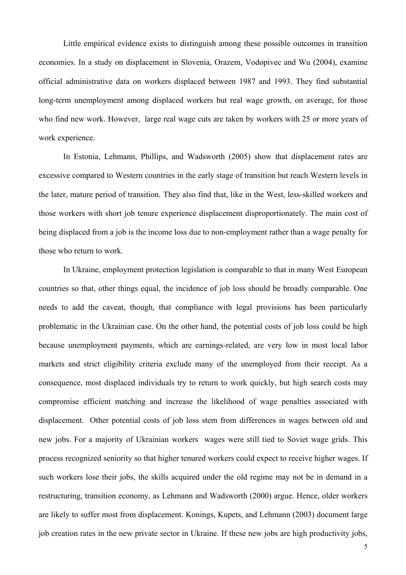Little empirical evidence exists to distinguish among these possible outcomes in transition economies. In a study on displacement in Slovenia, Orazem, Vodopivec and Wu (2004), examine official administrative data on workers displaced between 1987 and 1993. They find substantial long-term unemployment among displaced workers but real wage growth, on average, for those who find new work. However, large real wage cuts are taken by workers with 25 or more years of work experience.

In Estonia, Lehmann, Phillips, and Wadsworth (2005) show that displacement rates are excessive compared to Western countries in the early stage of transition but reach Western levels in the later, mature period of transition. They also find that, like in the West, less-skilled workers and those workers with short job tenure experience displacement disproportionately. The main cost of being displaced from a job is the income loss due to non-employment rather than a wage penalty for those who return to work.

In Ukraine, employment protection legislation is comparable to that in many West European countries so that, other things equal, the incidence of job loss should be broadly comparable. One needs to add the caveat, though, that compliance with legal provisions has been particularly problematic in the Ukrainian case. On the other hand, the potential costs of job loss could be high because unemployment payments, which are earnings-related, are very low in most local labor markets and strict eligibility criteria exclude many of the unemployed from their receipt. As a consequence, most displaced individuals try to return to work quickly, but high search costs may compromise efficient matching and increase the likelihood of wage penalties associated with displacement. Other potential costs of job loss stem from differences in wages between old and new jobs. For a majority of Ukrainian workers wages were still tied to Soviet wage grids. This process recognized seniority so that higher tenured workers could expect to receive higher wages. If such workers lose their jobs, the skills acquired under the old regime may not be in demand in a restructuring, transition economy, as Lehmann and Wadsworth (2000) argue. Hence, older workers are likely to suffer most from displacement. Konings, Kupets, and Lehmann (2003) document large job creation rates in the new private sector in Ukraine. If these new jobs are high productivity jobs,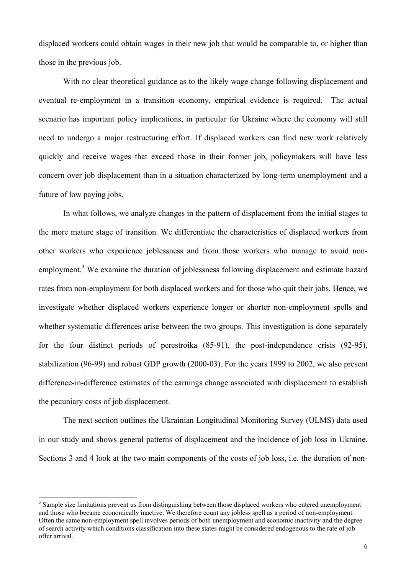displaced workers could obtain wages in their new job that would be comparable to, or higher than those in the previous job.

With no clear theoretical guidance as to the likely wage change following displacement and eventual re-employment in a transition economy, empirical evidence is required. The actual scenario has important policy implications, in particular for Ukraine where the economy will still need to undergo a major restructuring effort. If displaced workers can find new work relatively quickly and receive wages that exceed those in their former job, policymakers will have less concern over job displacement than in a situation characterized by long-term unemployment and a future of low paying jobs.

In what follows, we analyze changes in the pattern of displacement from the initial stages to the more mature stage of transition. We differentiate the characteristics of displaced workers from other workers who experience joblessness and from those workers who manage to avoid nonemployment.<sup>3</sup> We examine the duration of joblessness following displacement and estimate hazard rates from non-employment for both displaced workers and for those who quit their jobs. Hence, we investigate whether displaced workers experience longer or shorter non-employment spells and whether systematic differences arise between the two groups. This investigation is done separately for the four distinct periods of perestroika (85-91), the post-independence crisis (92-95), stabilization (96-99) and robust GDP growth (2000-03). For the years 1999 to 2002, we also present difference-in-difference estimates of the earnings change associated with displacement to establish the pecuniary costs of job displacement.

The next section outlines the Ukrainian Longitudinal Monitoring Survey (ULMS) data used in our study and shows general patterns of displacement and the incidence of job loss in Ukraine. Sections 3 and 4 look at the two main components of the costs of job loss, i.e. the duration of non-

 $\overline{a}$ 

 $3$  Sample size limitations prevent us from distinguishing between those displaced workers who entered unemployment and those who became economically inactive. We therefore count any jobless spell as a period of non-employment. Often the same non-employment spell involves periods of both unemployment and economic inactivity and the degree of search activity which conditions classification into these states might be considered endogenous to the rate of job offer arrival.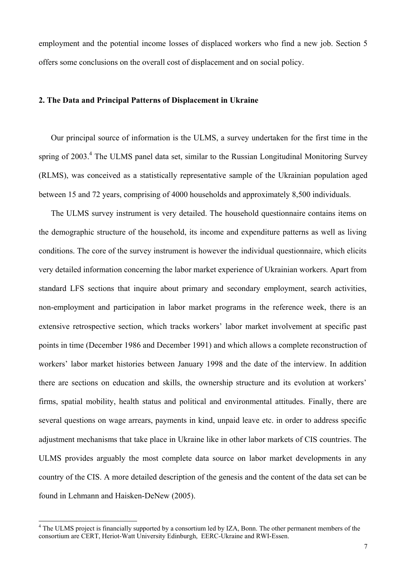employment and the potential income losses of displaced workers who find a new job. Section 5 offers some conclusions on the overall cost of displacement and on social policy.

#### **2. The Data and Principal Patterns of Displacement in Ukraine**

Our principal source of information is the ULMS, a survey undertaken for the first time in the spring of 2003.<sup>4</sup> The ULMS panel data set, similar to the Russian Longitudinal Monitoring Survey (RLMS), was conceived as a statistically representative sample of the Ukrainian population aged between 15 and 72 years, comprising of 4000 households and approximately 8,500 individuals.

The ULMS survey instrument is very detailed. The household questionnaire contains items on the demographic structure of the household, its income and expenditure patterns as well as living conditions. The core of the survey instrument is however the individual questionnaire, which elicits very detailed information concerning the labor market experience of Ukrainian workers. Apart from standard LFS sections that inquire about primary and secondary employment, search activities, non-employment and participation in labor market programs in the reference week, there is an extensive retrospective section, which tracks workers' labor market involvement at specific past points in time (December 1986 and December 1991) and which allows a complete reconstruction of workers' labor market histories between January 1998 and the date of the interview. In addition there are sections on education and skills, the ownership structure and its evolution at workers' firms, spatial mobility, health status and political and environmental attitudes. Finally, there are several questions on wage arrears, payments in kind, unpaid leave etc. in order to address specific adjustment mechanisms that take place in Ukraine like in other labor markets of CIS countries. The ULMS provides arguably the most complete data source on labor market developments in any country of the CIS. A more detailed description of the genesis and the content of the data set can be found in Lehmann and Haisken-DeNew (2005).

<sup>&</sup>lt;sup>4</sup> The ULMS project is financially supported by a consortium led by IZA, Bonn. The other permanent members of the consortium are CERT, Heriot-Watt University Edinburgh, EERC-Ukraine and RWI-Essen.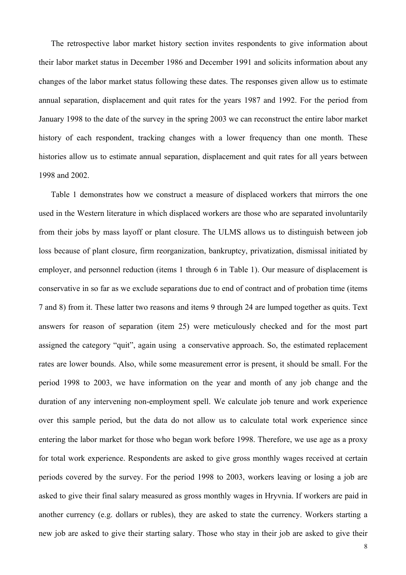The retrospective labor market history section invites respondents to give information about their labor market status in December 1986 and December 1991 and solicits information about any changes of the labor market status following these dates. The responses given allow us to estimate annual separation, displacement and quit rates for the years 1987 and 1992. For the period from January 1998 to the date of the survey in the spring 2003 we can reconstruct the entire labor market history of each respondent, tracking changes with a lower frequency than one month. These histories allow us to estimate annual separation, displacement and quit rates for all years between 1998 and 2002.

Table 1 demonstrates how we construct a measure of displaced workers that mirrors the one used in the Western literature in which displaced workers are those who are separated involuntarily from their jobs by mass layoff or plant closure. The ULMS allows us to distinguish between job loss because of plant closure, firm reorganization, bankruptcy, privatization, dismissal initiated by employer, and personnel reduction (items 1 through 6 in Table 1). Our measure of displacement is conservative in so far as we exclude separations due to end of contract and of probation time (items 7 and 8) from it. These latter two reasons and items 9 through 24 are lumped together as quits. Text answers for reason of separation (item 25) were meticulously checked and for the most part assigned the category "quit", again using a conservative approach. So, the estimated replacement rates are lower bounds. Also, while some measurement error is present, it should be small. For the period 1998 to 2003, we have information on the year and month of any job change and the duration of any intervening non-employment spell. We calculate job tenure and work experience over this sample period, but the data do not allow us to calculate total work experience since entering the labor market for those who began work before 1998. Therefore, we use age as a proxy for total work experience. Respondents are asked to give gross monthly wages received at certain periods covered by the survey. For the period 1998 to 2003, workers leaving or losing a job are asked to give their final salary measured as gross monthly wages in Hryvnia. If workers are paid in another currency (e.g. dollars or rubles), they are asked to state the currency. Workers starting a new job are asked to give their starting salary. Those who stay in their job are asked to give their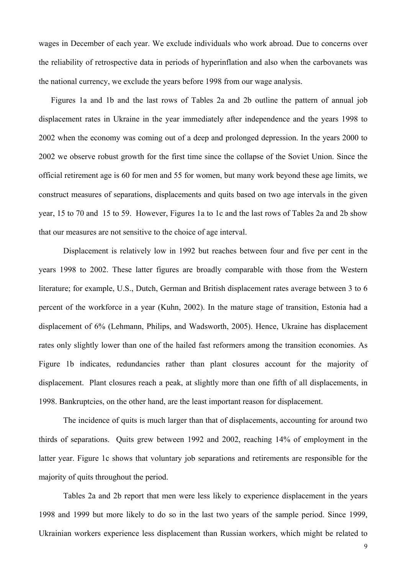wages in December of each year. We exclude individuals who work abroad. Due to concerns over the reliability of retrospective data in periods of hyperinflation and also when the carbovanets was the national currency, we exclude the years before 1998 from our wage analysis.

Figures 1a and 1b and the last rows of Tables 2a and 2b outline the pattern of annual job displacement rates in Ukraine in the year immediately after independence and the years 1998 to 2002 when the economy was coming out of a deep and prolonged depression. In the years 2000 to 2002 we observe robust growth for the first time since the collapse of the Soviet Union. Since the official retirement age is 60 for men and 55 for women, but many work beyond these age limits, we construct measures of separations, displacements and quits based on two age intervals in the given year, 15 to 70 and 15 to 59. However, Figures 1a to 1c and the last rows of Tables 2a and 2b show that our measures are not sensitive to the choice of age interval.

Displacement is relatively low in 1992 but reaches between four and five per cent in the years 1998 to 2002. These latter figures are broadly comparable with those from the Western literature; for example, U.S., Dutch, German and British displacement rates average between 3 to 6 percent of the workforce in a year (Kuhn, 2002). In the mature stage of transition, Estonia had a displacement of 6% (Lehmann, Philips, and Wadsworth, 2005). Hence, Ukraine has displacement rates only slightly lower than one of the hailed fast reformers among the transition economies. As Figure 1b indicates, redundancies rather than plant closures account for the majority of displacement. Plant closures reach a peak, at slightly more than one fifth of all displacements, in 1998. Bankruptcies, on the other hand, are the least important reason for displacement.

 The incidence of quits is much larger than that of displacements, accounting for around two thirds of separations. Quits grew between 1992 and 2002, reaching 14% of employment in the latter year. Figure 1c shows that voluntary job separations and retirements are responsible for the majority of quits throughout the period.

 Tables 2a and 2b report that men were less likely to experience displacement in the years 1998 and 1999 but more likely to do so in the last two years of the sample period. Since 1999, Ukrainian workers experience less displacement than Russian workers, which might be related to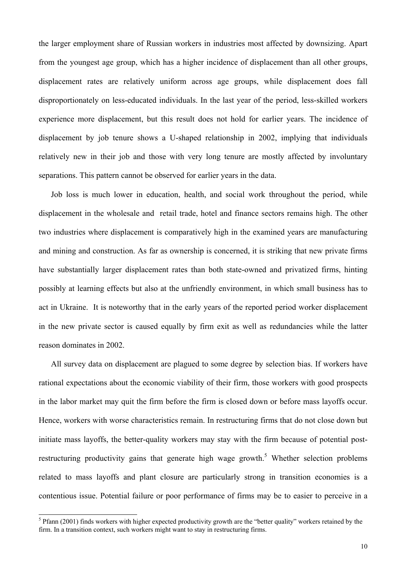the larger employment share of Russian workers in industries most affected by downsizing. Apart from the youngest age group, which has a higher incidence of displacement than all other groups, displacement rates are relatively uniform across age groups, while displacement does fall disproportionately on less-educated individuals. In the last year of the period, less-skilled workers experience more displacement, but this result does not hold for earlier years. The incidence of displacement by job tenure shows a U-shaped relationship in 2002, implying that individuals relatively new in their job and those with very long tenure are mostly affected by involuntary separations. This pattern cannot be observed for earlier years in the data.

Job loss is much lower in education, health, and social work throughout the period, while displacement in the wholesale and retail trade, hotel and finance sectors remains high. The other two industries where displacement is comparatively high in the examined years are manufacturing and mining and construction. As far as ownership is concerned, it is striking that new private firms have substantially larger displacement rates than both state-owned and privatized firms, hinting possibly at learning effects but also at the unfriendly environment, in which small business has to act in Ukraine. It is noteworthy that in the early years of the reported period worker displacement in the new private sector is caused equally by firm exit as well as redundancies while the latter reason dominates in 2002.

All survey data on displacement are plagued to some degree by selection bias. If workers have rational expectations about the economic viability of their firm, those workers with good prospects in the labor market may quit the firm before the firm is closed down or before mass layoffs occur. Hence, workers with worse characteristics remain. In restructuring firms that do not close down but initiate mass layoffs, the better-quality workers may stay with the firm because of potential postrestructuring productivity gains that generate high wage growth.<sup>5</sup> Whether selection problems related to mass layoffs and plant closure are particularly strong in transition economies is a contentious issue. Potential failure or poor performance of firms may be to easier to perceive in a

<sup>&</sup>lt;sup>5</sup> Pfann (2001) finds workers with higher expected productivity growth are the "better quality" workers retained by the firm. In a transition context, such workers might want to stay in restructuring firms.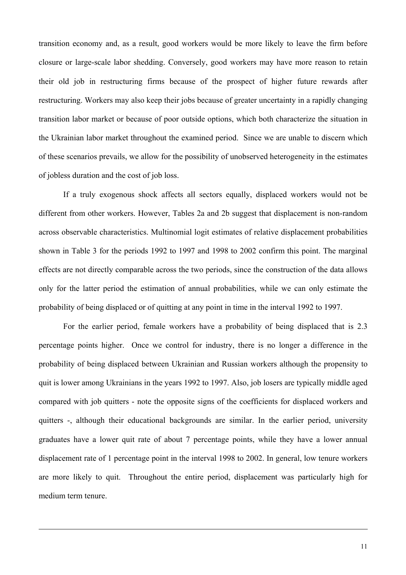transition economy and, as a result, good workers would be more likely to leave the firm before closure or large-scale labor shedding. Conversely, good workers may have more reason to retain their old job in restructuring firms because of the prospect of higher future rewards after restructuring. Workers may also keep their jobs because of greater uncertainty in a rapidly changing transition labor market or because of poor outside options, which both characterize the situation in the Ukrainian labor market throughout the examined period. Since we are unable to discern which of these scenarios prevails, we allow for the possibility of unobserved heterogeneity in the estimates of jobless duration and the cost of job loss.

If a truly exogenous shock affects all sectors equally, displaced workers would not be different from other workers. However, Tables 2a and 2b suggest that displacement is non-random across observable characteristics. Multinomial logit estimates of relative displacement probabilities shown in Table 3 for the periods 1992 to 1997 and 1998 to 2002 confirm this point. The marginal effects are not directly comparable across the two periods, since the construction of the data allows only for the latter period the estimation of annual probabilities, while we can only estimate the probability of being displaced or of quitting at any point in time in the interval 1992 to 1997.

For the earlier period, female workers have a probability of being displaced that is 2.3 percentage points higher. Once we control for industry, there is no longer a difference in the probability of being displaced between Ukrainian and Russian workers although the propensity to quit is lower among Ukrainians in the years 1992 to 1997. Also, job losers are typically middle aged compared with job quitters - note the opposite signs of the coefficients for displaced workers and quitters -, although their educational backgrounds are similar. In the earlier period, university graduates have a lower quit rate of about 7 percentage points, while they have a lower annual displacement rate of 1 percentage point in the interval 1998 to 2002. In general, low tenure workers are more likely to quit. Throughout the entire period, displacement was particularly high for medium term tenure.

l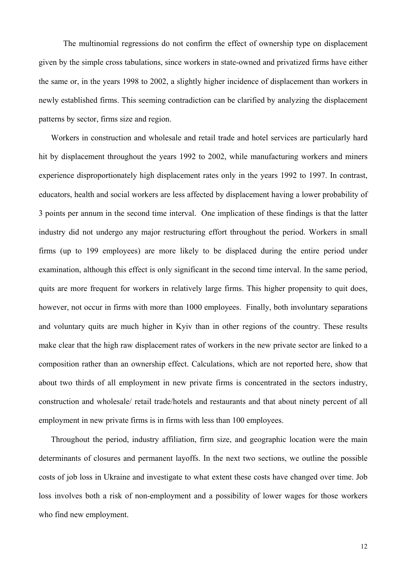The multinomial regressions do not confirm the effect of ownership type on displacement given by the simple cross tabulations, since workers in state-owned and privatized firms have either the same or, in the years 1998 to 2002, a slightly higher incidence of displacement than workers in newly established firms. This seeming contradiction can be clarified by analyzing the displacement patterns by sector, firms size and region.

Workers in construction and wholesale and retail trade and hotel services are particularly hard hit by displacement throughout the years 1992 to 2002, while manufacturing workers and miners experience disproportionately high displacement rates only in the years 1992 to 1997. In contrast, educators, health and social workers are less affected by displacement having a lower probability of 3 points per annum in the second time interval. One implication of these findings is that the latter industry did not undergo any major restructuring effort throughout the period. Workers in small firms (up to 199 employees) are more likely to be displaced during the entire period under examination, although this effect is only significant in the second time interval. In the same period, quits are more frequent for workers in relatively large firms. This higher propensity to quit does, however, not occur in firms with more than 1000 employees. Finally, both involuntary separations and voluntary quits are much higher in Kyiv than in other regions of the country. These results make clear that the high raw displacement rates of workers in the new private sector are linked to a composition rather than an ownership effect. Calculations, which are not reported here, show that about two thirds of all employment in new private firms is concentrated in the sectors industry, construction and wholesale/ retail trade/hotels and restaurants and that about ninety percent of all employment in new private firms is in firms with less than 100 employees.

Throughout the period, industry affiliation, firm size, and geographic location were the main determinants of closures and permanent layoffs. In the next two sections, we outline the possible costs of job loss in Ukraine and investigate to what extent these costs have changed over time. Job loss involves both a risk of non-employment and a possibility of lower wages for those workers who find new employment.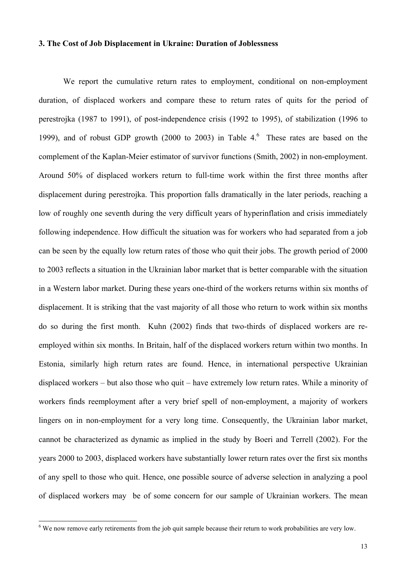#### **3. The Cost of Job Displacement in Ukraine: Duration of Joblessness**

We report the cumulative return rates to employment, conditional on non-employment duration, of displaced workers and compare these to return rates of quits for the period of perestrojka (1987 to 1991), of post-independence crisis (1992 to 1995), of stabilization (1996 to 1999), and of robust GDP growth (2000 to 2003) in Table  $4<sup>6</sup>$  These rates are based on the complement of the Kaplan-Meier estimator of survivor functions (Smith, 2002) in non-employment. Around 50% of displaced workers return to full-time work within the first three months after displacement during perestrojka. This proportion falls dramatically in the later periods, reaching a low of roughly one seventh during the very difficult years of hyperinflation and crisis immediately following independence. How difficult the situation was for workers who had separated from a job can be seen by the equally low return rates of those who quit their jobs. The growth period of 2000 to 2003 reflects a situation in the Ukrainian labor market that is better comparable with the situation in a Western labor market. During these years one-third of the workers returns within six months of displacement. It is striking that the vast majority of all those who return to work within six months do so during the first month. Kuhn (2002) finds that two-thirds of displaced workers are reemployed within six months. In Britain, half of the displaced workers return within two months. In Estonia, similarly high return rates are found. Hence, in international perspective Ukrainian displaced workers – but also those who quit – have extremely low return rates. While a minority of workers finds reemployment after a very brief spell of non-employment, a majority of workers lingers on in non-employment for a very long time. Consequently, the Ukrainian labor market, cannot be characterized as dynamic as implied in the study by Boeri and Terrell (2002). For the years 2000 to 2003, displaced workers have substantially lower return rates over the first six months of any spell to those who quit. Hence, one possible source of adverse selection in analyzing a pool of displaced workers may be of some concern for our sample of Ukrainian workers. The mean

<sup>&</sup>lt;sup>6</sup> We now remove early retirements from the job quit sample because their return to work probabilities are very low.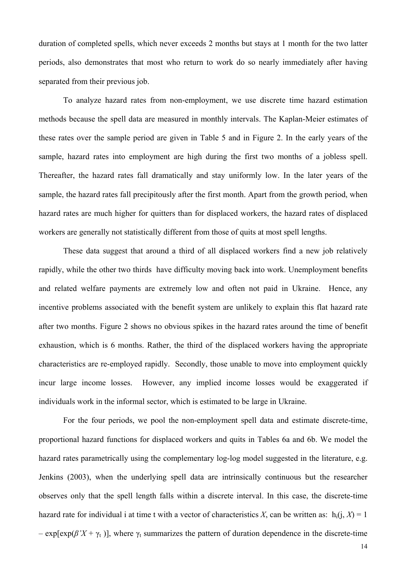duration of completed spells, which never exceeds 2 months but stays at 1 month for the two latter periods, also demonstrates that most who return to work do so nearly immediately after having separated from their previous job.

To analyze hazard rates from non-employment, we use discrete time hazard estimation methods because the spell data are measured in monthly intervals. The Kaplan-Meier estimates of these rates over the sample period are given in Table 5 and in Figure 2. In the early years of the sample, hazard rates into employment are high during the first two months of a jobless spell. Thereafter, the hazard rates fall dramatically and stay uniformly low. In the later years of the sample, the hazard rates fall precipitously after the first month. Apart from the growth period, when hazard rates are much higher for quitters than for displaced workers, the hazard rates of displaced workers are generally not statistically different from those of quits at most spell lengths.

These data suggest that around a third of all displaced workers find a new job relatively rapidly, while the other two thirds have difficulty moving back into work. Unemployment benefits and related welfare payments are extremely low and often not paid in Ukraine. Hence, any incentive problems associated with the benefit system are unlikely to explain this flat hazard rate after two months. Figure 2 shows no obvious spikes in the hazard rates around the time of benefit exhaustion, which is 6 months. Rather, the third of the displaced workers having the appropriate characteristics are re-employed rapidly. Secondly, those unable to move into employment quickly incur large income losses. However, any implied income losses would be exaggerated if individuals work in the informal sector, which is estimated to be large in Ukraine.

For the four periods, we pool the non-employment spell data and estimate discrete-time, proportional hazard functions for displaced workers and quits in Tables 6a and 6b. We model the hazard rates parametrically using the complementary log-log model suggested in the literature, e.g. Jenkins (2003), when the underlying spell data are intrinsically continuous but the researcher observes only that the spell length falls within a discrete interval. In this case, the discrete-time hazard rate for individual i at time t with a vector of characteristics *X*, can be written as:  $h_i(i, X) = 1$ –  $\exp\left(\frac{\beta'X + \gamma_t}{\gamma_t}\right)$ , where  $\gamma_t$  summarizes the pattern of duration dependence in the discrete-time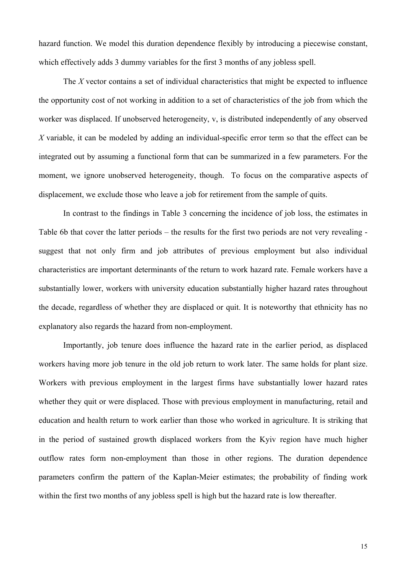hazard function. We model this duration dependence flexibly by introducing a piecewise constant, which effectively adds 3 dummy variables for the first 3 months of any jobless spell.

The *X* vector contains a set of individual characteristics that might be expected to influence the opportunity cost of not working in addition to a set of characteristics of the job from which the worker was displaced. If unobserved heterogeneity, v, is distributed independently of any observed *X* variable, it can be modeled by adding an individual-specific error term so that the effect can be integrated out by assuming a functional form that can be summarized in a few parameters. For the moment, we ignore unobserved heterogeneity, though. To focus on the comparative aspects of displacement, we exclude those who leave a job for retirement from the sample of quits.

In contrast to the findings in Table 3 concerning the incidence of job loss, the estimates in Table 6b that cover the latter periods – the results for the first two periods are not very revealing suggest that not only firm and job attributes of previous employment but also individual characteristics are important determinants of the return to work hazard rate. Female workers have a substantially lower, workers with university education substantially higher hazard rates throughout the decade, regardless of whether they are displaced or quit. It is noteworthy that ethnicity has no explanatory also regards the hazard from non-employment.

Importantly, job tenure does influence the hazard rate in the earlier period, as displaced workers having more job tenure in the old job return to work later. The same holds for plant size. Workers with previous employment in the largest firms have substantially lower hazard rates whether they quit or were displaced. Those with previous employment in manufacturing, retail and education and health return to work earlier than those who worked in agriculture. It is striking that in the period of sustained growth displaced workers from the Kyiv region have much higher outflow rates form non-employment than those in other regions. The duration dependence parameters confirm the pattern of the Kaplan-Meier estimates; the probability of finding work within the first two months of any jobless spell is high but the hazard rate is low thereafter.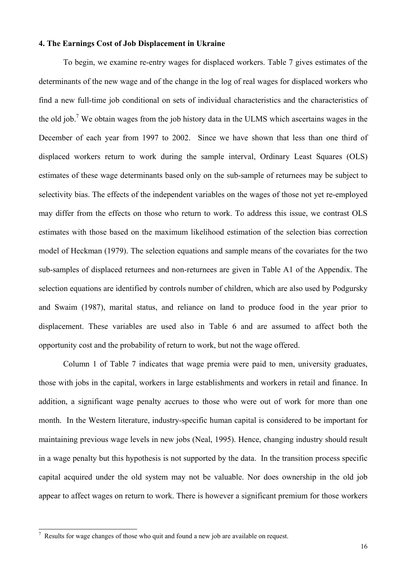### **4. The Earnings Cost of Job Displacement in Ukraine**

To begin, we examine re-entry wages for displaced workers. Table 7 gives estimates of the determinants of the new wage and of the change in the log of real wages for displaced workers who find a new full-time job conditional on sets of individual characteristics and the characteristics of the old job.<sup>7</sup> We obtain wages from the job history data in the ULMS which ascertains wages in the December of each year from 1997 to 2002. Since we have shown that less than one third of displaced workers return to work during the sample interval, Ordinary Least Squares (OLS) estimates of these wage determinants based only on the sub-sample of returnees may be subject to selectivity bias. The effects of the independent variables on the wages of those not yet re-employed may differ from the effects on those who return to work. To address this issue, we contrast OLS estimates with those based on the maximum likelihood estimation of the selection bias correction model of Heckman (1979). The selection equations and sample means of the covariates for the two sub-samples of displaced returnees and non-returnees are given in Table A1 of the Appendix. The selection equations are identified by controls number of children, which are also used by Podgursky and Swaim (1987), marital status, and reliance on land to produce food in the year prior to displacement. These variables are used also in Table 6 and are assumed to affect both the opportunity cost and the probability of return to work, but not the wage offered.

Column 1 of Table 7 indicates that wage premia were paid to men, university graduates, those with jobs in the capital, workers in large establishments and workers in retail and finance. In addition, a significant wage penalty accrues to those who were out of work for more than one month. In the Western literature, industry-specific human capital is considered to be important for maintaining previous wage levels in new jobs (Neal, 1995). Hence, changing industry should result in a wage penalty but this hypothesis is not supported by the data. In the transition process specific capital acquired under the old system may not be valuable. Nor does ownership in the old job appear to affect wages on return to work. There is however a significant premium for those workers

l

 $\frac{7}{1}$  Results for wage changes of those who quit and found a new job are available on request.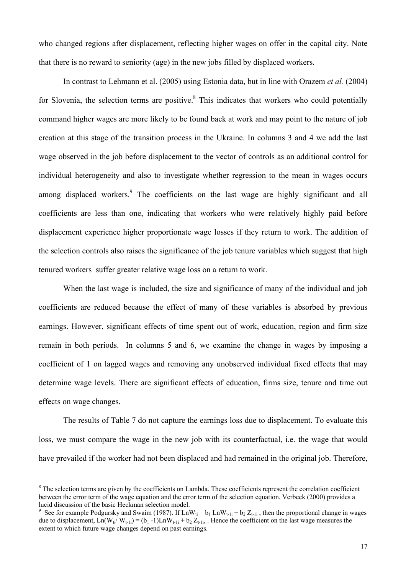who changed regions after displacement, reflecting higher wages on offer in the capital city. Note that there is no reward to seniority (age) in the new jobs filled by displaced workers.

In contrast to Lehmann et al. (2005) using Estonia data, but in line with Orazem *et al.* (2004) for Slovenia, the selection terms are positive. $8$  This indicates that workers who could potentially command higher wages are more likely to be found back at work and may point to the nature of job creation at this stage of the transition process in the Ukraine. In columns 3 and 4 we add the last wage observed in the job before displacement to the vector of controls as an additional control for individual heterogeneity and also to investigate whether regression to the mean in wages occurs among displaced workers.<sup>9</sup> The coefficients on the last wage are highly significant and all coefficients are less than one, indicating that workers who were relatively highly paid before displacement experience higher proportionate wage losses if they return to work. The addition of the selection controls also raises the significance of the job tenure variables which suggest that high tenured workers suffer greater relative wage loss on a return to work.

When the last wage is included, the size and significance of many of the individual and job coefficients are reduced because the effect of many of these variables is absorbed by previous earnings. However, significant effects of time spent out of work, education, region and firm size remain in both periods. In columns 5 and 6, we examine the change in wages by imposing a coefficient of 1 on lagged wages and removing any unobserved individual fixed effects that may determine wage levels. There are significant effects of education, firms size, tenure and time out effects on wage changes.

The results of Table 7 do not capture the earnings loss due to displacement. To evaluate this loss, we must compare the wage in the new job with its counterfactual, i.e. the wage that would have prevailed if the worker had not been displaced and had remained in the original job. Therefore,

 $\overline{a}$ 

 $8$  The selection terms are given by the coefficients on Lambda. These coefficients represent the correlation coefficient between the error term of the wage equation and the error term of the selection equation. Verbeek (2000) provides a lucid discussion of the basic Heckman selection model.

<sup>&</sup>lt;sup>9</sup> See for example Podgursky and Swaim (1987). If  $LnW_{ti} = b_1 LnW_{t-1i} + b_2 Z_{t-1i}$ , then the proportional change in wages due to displacement,  $\text{Ln}(W_{ti}/W_{t-1i}) = (b_1 - 1)\text{Ln}W_{t-1i} + b_2 Z_{t-1i}$ . Hence the coefficient on the last wage measures the extent to which future wage changes depend on past earnings.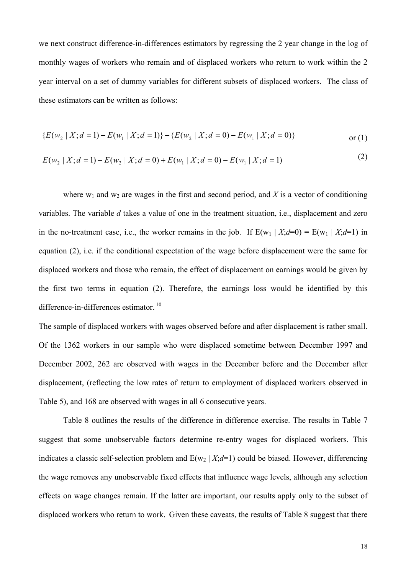we next construct difference-in-differences estimators by regressing the 2 year change in the log of monthly wages of workers who remain and of displaced workers who return to work within the 2 year interval on a set of dummy variables for different subsets of displaced workers. The class of these estimators can be written as follows:

$$
\{E(w_2 \mid X; d=1) - E(w_1 \mid X; d=1)\} - \{E(w_2 \mid X; d=0) - E(w_1 \mid X; d=0)\}\
$$
 or (1)

$$
E(w_2 | X; d = 1) - E(w_2 | X; d = 0) + E(w_1 | X; d = 0) - E(w_1 | X; d = 1)
$$
\n(2)

where  $w_1$  and  $w_2$  are wages in the first and second period, and X is a vector of conditioning variables. The variable *d* takes a value of one in the treatment situation, i.e., displacement and zero in the no-treatment case, i.e., the worker remains in the job. If  $E(w_1 | X; d=0) = E(w_1 | X; d=1)$  in equation (2), i.e. if the conditional expectation of the wage before displacement were the same for displaced workers and those who remain, the effect of displacement on earnings would be given by the first two terms in equation (2). Therefore, the earnings loss would be identified by this difference-in-differences estimator. <sup>10</sup>

The sample of displaced workers with wages observed before and after displacement is rather small. Of the 1362 workers in our sample who were displaced sometime between December 1997 and December 2002, 262 are observed with wages in the December before and the December after displacement, (reflecting the low rates of return to employment of displaced workers observed in Table 5), and 168 are observed with wages in all 6 consecutive years.

Table 8 outlines the results of the difference in difference exercise. The results in Table 7 suggest that some unobservable factors determine re-entry wages for displaced workers. This indicates a classic self-selection problem and  $E(w_2 | X; d=1)$  could be biased. However, differencing the wage removes any unobservable fixed effects that influence wage levels, although any selection effects on wage changes remain. If the latter are important, our results apply only to the subset of displaced workers who return to work. Given these caveats, the results of Table 8 suggest that there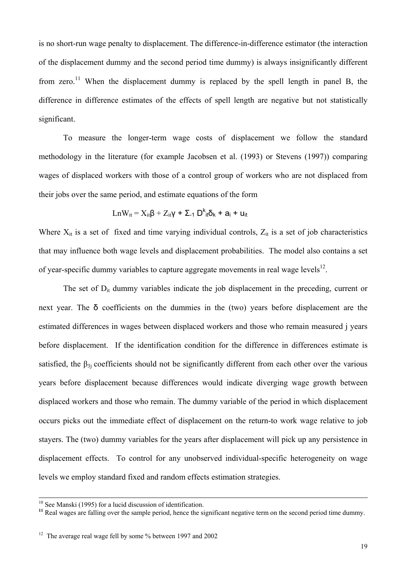is no short-run wage penalty to displacement. The difference-in-difference estimator (the interaction of the displacement dummy and the second period time dummy) is always insignificantly different from zero.<sup>11</sup> When the displacement dummy is replaced by the spell length in panel B, the difference in difference estimates of the effects of spell length are negative but not statistically significant.

To measure the longer-term wage costs of displacement we follow the standard methodology in the literature (for example Jacobsen et al. (1993) or Stevens (1997)) comparing wages of displaced workers with those of a control group of workers who are not displaced from their jobs over the same period, and estimate equations of the form

$$
LnW_{it} = X_{it}\beta + Z_{it}\gamma + \Sigma_{-1} D^k_{it}\delta_k + a_i + u_{it}
$$

Where  $X_{it}$  is a set of fixed and time varying individual controls,  $Z_{it}$  is a set of job characteristics that may influence both wage levels and displacement probabilities. The model also contains a set of year-specific dummy variables to capture aggregate movements in real wage levels $^{12}$ .

The set of  $D_{it}$  dummy variables indicate the job displacement in the preceding, current or next year. The  $\delta$  coefficients on the dummies in the (two) years before displacement are the estimated differences in wages between displaced workers and those who remain measured j years before displacement. If the identification condition for the difference in differences estimate is satisfied, the  $\beta_{3i}$  coefficients should not be significantly different from each other over the various years before displacement because differences would indicate diverging wage growth between displaced workers and those who remain. The dummy variable of the period in which displacement occurs picks out the immediate effect of displacement on the return-to work wage relative to job stayers. The (two) dummy variables for the years after displacement will pick up any persistence in displacement effects. To control for any unobserved individual-specific heterogeneity on wage levels we employ standard fixed and random effects estimation strategies.

<sup>&</sup>lt;sup>10</sup> See Manski (1995) for a lucid discussion of identification.

<sup>&</sup>lt;sup>11</sup> Real wages are falling over the sample period, hence the significant negative term on the second period time dummy.

<sup>&</sup>lt;sup>12</sup> The average real wage fell by some % between 1997 and 2002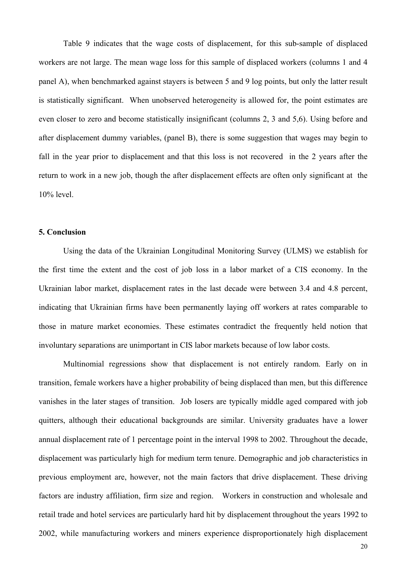Table 9 indicates that the wage costs of displacement, for this sub-sample of displaced workers are not large. The mean wage loss for this sample of displaced workers (columns 1 and 4 panel A), when benchmarked against stayers is between 5 and 9 log points, but only the latter result is statistically significant. When unobserved heterogeneity is allowed for, the point estimates are even closer to zero and become statistically insignificant (columns 2, 3 and 5,6). Using before and after displacement dummy variables, (panel B), there is some suggestion that wages may begin to fall in the year prior to displacement and that this loss is not recovered in the 2 years after the return to work in a new job, though the after displacement effects are often only significant at the 10% level.

#### **5. Conclusion**

 Using the data of the Ukrainian Longitudinal Monitoring Survey (ULMS) we establish for the first time the extent and the cost of job loss in a labor market of a CIS economy. In the Ukrainian labor market, displacement rates in the last decade were between 3.4 and 4.8 percent, indicating that Ukrainian firms have been permanently laying off workers at rates comparable to those in mature market economies. These estimates contradict the frequently held notion that involuntary separations are unimportant in CIS labor markets because of low labor costs.

Multinomial regressions show that displacement is not entirely random. Early on in transition, female workers have a higher probability of being displaced than men, but this difference vanishes in the later stages of transition. Job losers are typically middle aged compared with job quitters, although their educational backgrounds are similar. University graduates have a lower annual displacement rate of 1 percentage point in the interval 1998 to 2002. Throughout the decade, displacement was particularly high for medium term tenure. Demographic and job characteristics in previous employment are, however, not the main factors that drive displacement. These driving factors are industry affiliation, firm size and region. Workers in construction and wholesale and retail trade and hotel services are particularly hard hit by displacement throughout the years 1992 to 2002, while manufacturing workers and miners experience disproportionately high displacement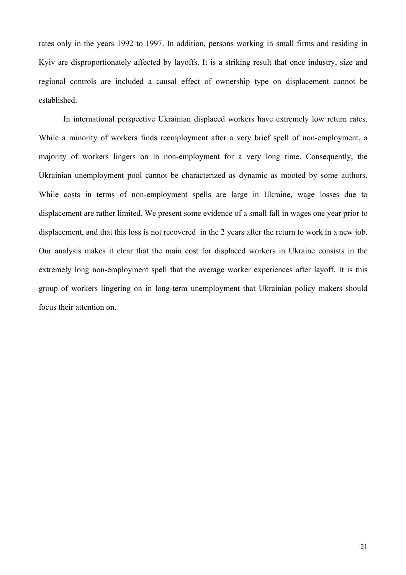rates only in the years 1992 to 1997. In addition, persons working in small firms and residing in Kyiv are disproportionately affected by layoffs. It is a striking result that once industry, size and regional controls are included a causal effect of ownership type on displacement cannot be established.

 In international perspective Ukrainian displaced workers have extremely low return rates. While a minority of workers finds reemployment after a very brief spell of non-employment, a majority of workers lingers on in non-employment for a very long time. Consequently, the Ukrainian unemployment pool cannot be characterized as dynamic as mooted by some authors. While costs in terms of non-employment spells are large in Ukraine, wage losses due to displacement are rather limited. We present some evidence of a small fall in wages one year prior to displacement, and that this loss is not recovered in the 2 years after the return to work in a new job. Our analysis makes it clear that the main cost for displaced workers in Ukraine consists in the extremely long non-employment spell that the average worker experiences after layoff. It is this group of workers lingering on in long-term unemployment that Ukrainian policy makers should focus their attention on.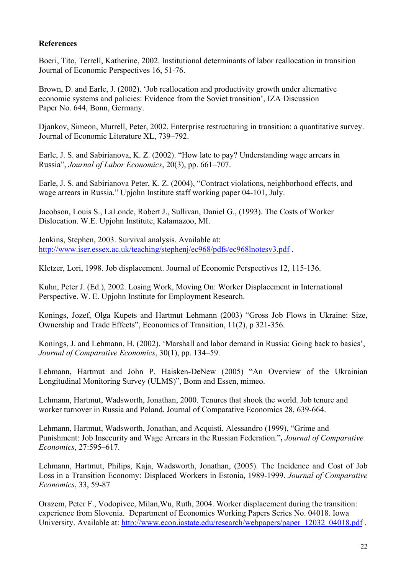## **References**

Boeri, Tito, Terrell, Katherine, 2002. Institutional determinants of labor reallocation in transition Journal of Economic Perspectives 16, 51-76.

Brown, D. and Earle, J. (2002). 'Job reallocation and productivity growth under alternative economic systems and policies: Evidence from the Soviet transition', IZA Discussion Paper No. 644, Bonn, Germany.

Djankov, Simeon, Murrell, Peter, 2002. Enterprise restructuring in transition: a quantitative survey. Journal of Economic Literature XL, 739–792.

Earle, J. S. and Sabirianova, K. Z. (2002). "How late to pay? Understanding wage arrears in Russia", *Journal of Labor Economics*, 20(3), pp. 661–707.

Earle, J. S. and Sabirianova Peter, K. Z. (2004), "Contract violations, neighborhood effects, and wage arrears in Russia." Upjohn Institute staff working paper 04-101, July.

Jacobson, Louis S., LaLonde, Robert J., Sullivan, Daniel G., (1993). The Costs of Worker Dislocation. W.E. Upjohn Institute, Kalamazoo, MI.

Jenkins, Stephen, 2003. Survival analysis. Available at: http://www.iser.essex.ac.uk/teaching/stephenj/ec968/pdfs/ec968lnotesv3.pdf .

Kletzer, Lori, 1998. Job displacement. Journal of Economic Perspectives 12, 115-136.

Kuhn, Peter J. (Ed.), 2002. Losing Work, Moving On: Worker Displacement in International Perspective. W. E. Upjohn Institute for Employment Research.

Konings, Jozef, Olga Kupets and Hartmut Lehmann (2003) "Gross Job Flows in Ukraine: Size, Ownership and Trade Effects", Economics of Transition, 11(2), p 321-356.

Konings, J. and Lehmann, H. (2002). 'Marshall and labor demand in Russia: Going back to basics', *Journal of Comparative Economics*, 30(1), pp. 134–59.

Lehmann, Hartmut and John P. Haisken-DeNew (2005) "An Overview of the Ukrainian Longitudinal Monitoring Survey (ULMS)", Bonn and Essen, mimeo.

Lehmann, Hartmut, Wadsworth, Jonathan, 2000. Tenures that shook the world. Job tenure and worker turnover in Russia and Poland. Journal of Comparative Economics 28, 639-664.

Lehmann, Hartmut, Wadsworth, Jonathan, and Acquisti, Alessandro (1999), "Grime and Punishment: Job Insecurity and Wage Arrears in the Russian Federation."**,** *Journal of Comparative Economics*, 27:595–617.

Lehmann, Hartmut, Philips, Kaja, Wadsworth, Jonathan, (2005). The Incidence and Cost of Job Loss in a Transition Economy: Displaced Workers in Estonia, 1989-1999. *Journal of Comparative Economics*, 33, 59-87

Orazem, Peter F., Vodopivec, Milan,Wu, Ruth, 2004. Worker displacement during the transition: experience from Slovenia. Department of Economics Working Papers Series No. 04018. Iowa University. Available at: http://www.econ.iastate.edu/research/webpapers/paper\_12032\_04018.pdf .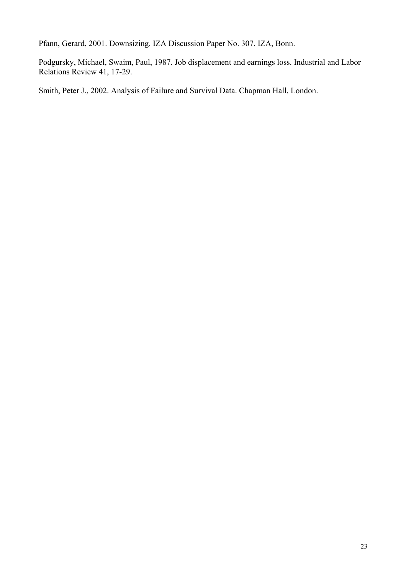Pfann, Gerard, 2001. Downsizing. IZA Discussion Paper No. 307. IZA, Bonn.

Podgursky, Michael, Swaim, Paul, 1987. Job displacement and earnings loss. Industrial and Labor Relations Review 41, 17-29.

Smith, Peter J., 2002. Analysis of Failure and Survival Data. Chapman Hall, London.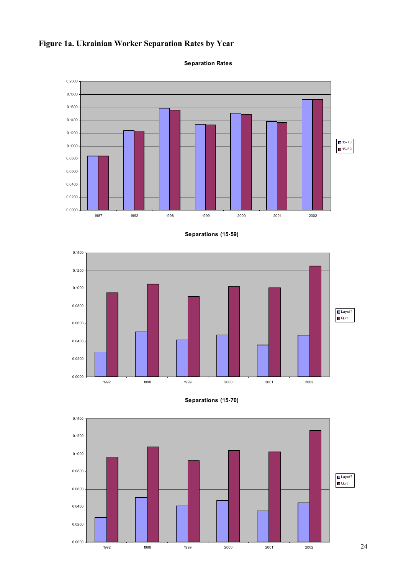













24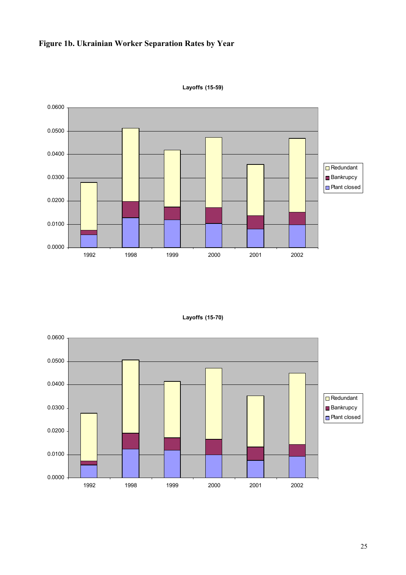# **Figure 1b. Ukrainian Worker Separation Rates by Year**



**Layoffs (15-59)**

**Layoffs (15-70)**

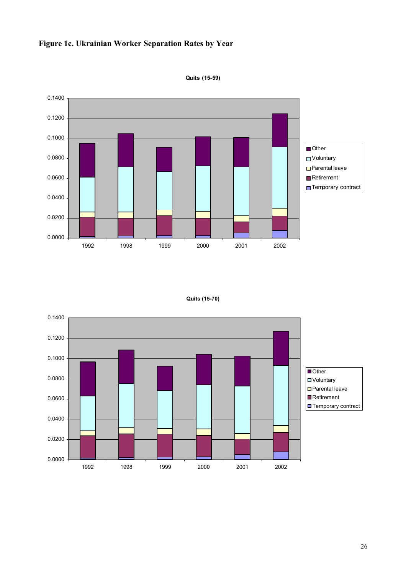



**Quits (15-59)**

```
Quits (15-70)
```
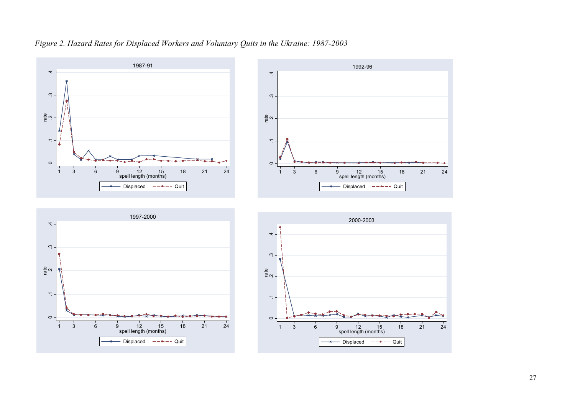







مت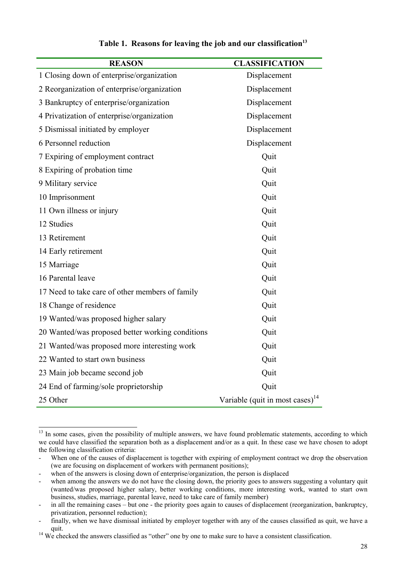| <b>REASON</b>                                    | <b>CLASSIFICATION</b>                 |
|--------------------------------------------------|---------------------------------------|
| 1 Closing down of enterprise/organization        | Displacement                          |
| 2 Reorganization of enterprise/organization      | Displacement                          |
| 3 Bankruptcy of enterprise/organization          | Displacement                          |
| 4 Privatization of enterprise/organization       | Displacement                          |
| 5 Dismissal initiated by employer                | Displacement                          |
| 6 Personnel reduction                            | Displacement                          |
| 7 Expiring of employment contract                | Quit                                  |
| 8 Expiring of probation time                     | Quit                                  |
| 9 Military service                               | Quit                                  |
| 10 Imprisonment                                  | Quit                                  |
| 11 Own illness or injury                         | Quit                                  |
| 12 Studies                                       | Quit                                  |
| 13 Retirement                                    | Quit                                  |
| 14 Early retirement                              | Quit                                  |
| 15 Marriage                                      | Quit                                  |
| 16 Parental leave                                | Quit                                  |
| 17 Need to take care of other members of family  | Quit                                  |
| 18 Change of residence                           | Quit                                  |
| 19 Wanted/was proposed higher salary             | Quit                                  |
| 20 Wanted/was proposed better working conditions | Quit                                  |
| 21 Wanted/was proposed more interesting work     | Quit                                  |
| 22 Wanted to start own business                  | Quit                                  |
| 23 Main job became second job                    | Quit                                  |
| 24 End of farming/sole proprietorship            | Quit                                  |
| 25 Other                                         | Variable (quit in most cases) $^{14}$ |

### Table 1. Reasons for leaving the job and our classification<sup>13</sup>

 $\overline{a}$ 

<sup>&</sup>lt;sup>13</sup> In some cases, given the possibility of multiple answers, we have found problematic statements, according to which we could have classified the separation both as a displacement and/or as a quit. In these case we have chosen to adopt the following classification criteria:

When one of the causes of displacement is together with expiring of employment contract we drop the observation (we are focusing on displacement of workers with permanent positions);

when of the answers is closing down of enterprise/organization, the person is displaced

when among the answers we do not have the closing down, the priority goes to answers suggesting a voluntary quit (wanted/was proposed higher salary, better working conditions, more interesting work, wanted to start own business, studies, marriage, parental leave, need to take care of family member)

<sup>-</sup> in all the remaining cases – but one - the priority goes again to causes of displacement (reorganization, bankruptcy, privatization, personnel reduction);

finally, when we have dismissal initiated by employer together with any of the causes classified as quit, we have a quit.<br><sup>14</sup> We checked the answers classified as "other" one by one to make sure to have a consistent classification.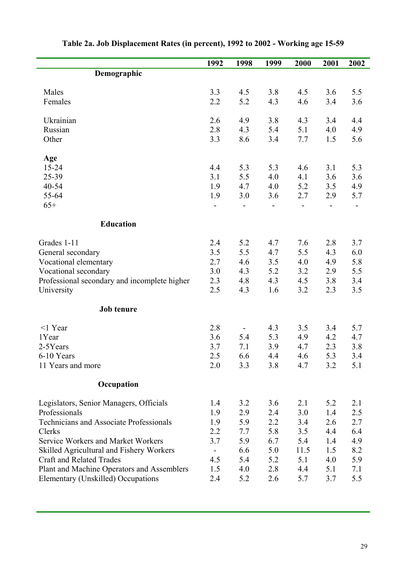|                                                | 1992 | 1998 | 1999 | 2000                     | 2001                     | 2002                     |
|------------------------------------------------|------|------|------|--------------------------|--------------------------|--------------------------|
| Demographic                                    |      |      |      |                          |                          |                          |
|                                                |      |      |      |                          |                          |                          |
| Males                                          | 3.3  | 4.5  | 3.8  | 4.5                      | 3.6                      | 5.5                      |
| Females                                        | 2.2  | 5.2  | 4.3  | 4.6                      | 3.4                      | 3.6                      |
| Ukrainian                                      | 2.6  | 4.9  | 3.8  | 4.3                      | 3.4                      | 4.4                      |
| Russian                                        | 2.8  | 4.3  | 5.4  | 5.1                      | 4.0                      | 4.9                      |
| Other                                          | 3.3  | 8.6  | 3.4  | 7.7                      | 1.5                      | 5.6                      |
| Age                                            |      |      |      |                          |                          |                          |
| $15 - 24$                                      | 4.4  | 5.3  | 5.3  | 4.6                      | 3.1                      | 5.3                      |
| 25-39                                          | 3.1  | 5.5  | 4.0  | 4.1                      | 3.6                      | 3.6                      |
| $40 - 54$                                      | 1.9  | 4.7  | 4.0  | 5.2                      | 3.5                      | 4.9                      |
| 55-64                                          | 1.9  | 3.0  | 3.6  | 2.7                      | 2.9                      | 5.7                      |
| $65+$                                          |      |      |      | $\overline{\phantom{0}}$ | $\overline{\phantom{0}}$ | $\overline{\phantom{0}}$ |
| <b>Education</b>                               |      |      |      |                          |                          |                          |
| Grades 1-11                                    | 2.4  | 5.2  | 4.7  | 7.6                      | 2.8                      | 3.7                      |
| General secondary                              | 3.5  | 5.5  | 4.7  | 5.5                      | 4.3                      | 6.0                      |
| Vocational elementary                          | 2.7  | 4.6  | 3.5  | 4.0                      | 4.9                      | 5.8                      |
| Vocational secondary                           | 3.0  | 4.3  | 5.2  | 3.2                      | 2.9                      | 5.5                      |
| Professional secondary and incomplete higher   | 2.3  | 4.8  | 4.3  | 4.5                      | 3.8                      | 3.4                      |
| University                                     | 2.5  | 4.3  | 1.6  | 3.2                      | 2.3                      | 3.5                      |
| Job tenure                                     |      |      |      |                          |                          |                          |
| $<$ 1 Year                                     | 2.8  |      | 4.3  | 3.5                      | 3.4                      | 5.7                      |
| 1Year                                          | 3.6  | 5.4  | 5.3  | 4.9                      | 4.2                      | 4.7                      |
| 2-5Years                                       | 3.7  | 7.1  | 3.9  | 4.7                      | 2.3                      | 3.8                      |
| 6-10 Years                                     | 2.5  | 6.6  | 4.4  | 4.6                      | 5.3                      | 3.4                      |
| 11 Years and more                              | 2.0  | 3.3  | 3.8  | 4.7                      | 3.2                      | 5.1                      |
| Occupation                                     |      |      |      |                          |                          |                          |
| Legislators, Senior Managers, Officials        | 1.4  | 3.2  | 3.6  | 2.1                      | 5.2                      | 2.1                      |
| Professionals                                  | 1.9  | 2.9  | 2.4  | 3.0                      | 1.4                      | 2.5                      |
| <b>Technicians and Associate Professionals</b> | 1.9  | 5.9  | 2.2  | 3.4                      | 2.6                      | 2.7                      |
| Clerks                                         | 2.2  | 7.7  | 5.8  | 3.5                      | 4.4                      | 6.4                      |
| Service Workers and Market Workers             | 3.7  | 5.9  | 6.7  | 5.4                      | 1.4                      | 4.9                      |
| Skilled Agricultural and Fishery Workers       |      | 6.6  | 5.0  | 11.5                     | 1.5                      | 8.2                      |
| <b>Craft and Related Trades</b>                | 4.5  | 5.4  | 5.2  | 5.1                      | 4.0                      | 5.9                      |
| Plant and Machine Operators and Assemblers     | 1.5  | 4.0  | 2.8  | 4.4                      | 5.1                      | 7.1                      |
| Elementary (Unskilled) Occupations             | 2.4  | 5.2  | 2.6  | 5.7                      | 3.7                      | 5.5                      |

# **Table 2a. Job Displacement Rates (in percent), 1992 to 2002 - Working age 15-59**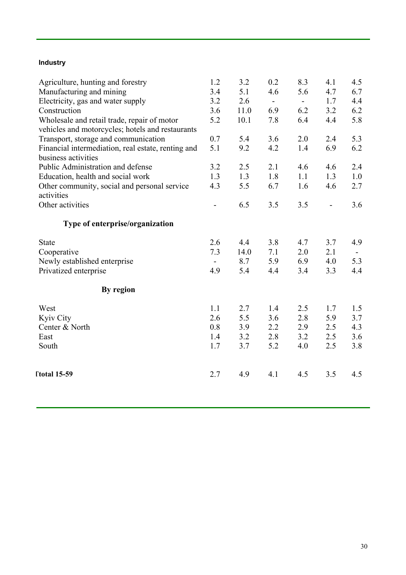# **Industry**

| Agriculture, hunting and forestry<br>Manufacturing and mining<br>Electricity, gas and water supply<br>Construction<br>Wholesale and retail trade, repair of motor     | 1.2<br>3.4<br>3.2<br>3.6<br>5.2 | 3.2<br>5.1<br>2.6<br>11.0<br>10.1 | 0.2<br>4.6<br>$\blacksquare$<br>6.9<br>7.8 | 8.3<br>5.6<br>$\sim$<br>6.2<br>6.4 | 4.1<br>4.7<br>1.7<br>3.2<br>4.4 | 4.5<br>6.7<br>4.4<br>6.2<br>5.8 |
|-----------------------------------------------------------------------------------------------------------------------------------------------------------------------|---------------------------------|-----------------------------------|--------------------------------------------|------------------------------------|---------------------------------|---------------------------------|
| vehicles and motorcycles; hotels and restaurants<br>Transport, storage and communication<br>Financial intermediation, real estate, renting and<br>business activities | 0.7<br>5.1                      | 5.4<br>9.2                        | 3.6<br>4.2                                 | 2.0<br>1.4                         | 2.4<br>6.9                      | 5.3<br>6.2                      |
| Public Administration and defense<br>Education, health and social work<br>Other community, social and personal service<br>activities                                  | 3.2<br>1.3<br>4.3               | 2.5<br>1.3<br>5.5                 | 2.1<br>1.8<br>6.7                          | 4.6<br>1.1<br>1.6                  | 4.6<br>1.3<br>4.6               | 2.4<br>1.0<br>2.7               |
| Other activities<br>Type of enterprise/organization                                                                                                                   | $\overline{\phantom{0}}$        | 6.5                               | 3.5                                        | 3.5                                | $\overline{a}$                  | 3.6                             |
| <b>State</b><br>Cooperative<br>Newly established enterprise<br>Privatized enterprise                                                                                  | 2.6<br>7.3<br>4.9               | 4.4<br>14.0<br>8.7<br>5.4         | 3.8<br>7.1<br>5.9<br>4.4                   | 4.7<br>2.0<br>6.9<br>3.4           | 3.7<br>2.1<br>4.0<br>3.3        | 4.9<br>$\sim$<br>5.3<br>4.4     |
| By region<br>West<br>Kyiv City<br>Center & North<br>East<br>South                                                                                                     | 1.1<br>2.6<br>0.8<br>1.4<br>1.7 | 2.7<br>5.5<br>3.9<br>3.2<br>3.7   | 1.4<br>3.6<br>2.2<br>2.8<br>5.2            | 2.5<br>2.8<br>2.9<br>3.2<br>4.0    | 1.7<br>5.9<br>2.5<br>2.5<br>2.5 | 1.5<br>3.7<br>4.3<br>3.6<br>3.8 |
| <b>Total 15-59</b>                                                                                                                                                    | 2.7                             | 4.9                               | 4.1                                        | 4.5                                | 3.5                             | 4.5                             |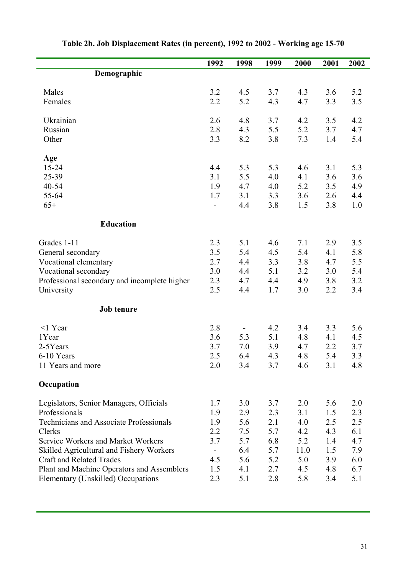|                                                | 1992                     | 1998 | 1999 | 2000 | 2001 | 2002 |
|------------------------------------------------|--------------------------|------|------|------|------|------|
| Demographic                                    |                          |      |      |      |      |      |
|                                                |                          |      |      |      |      |      |
| Males                                          | 3.2                      | 4.5  | 3.7  | 4.3  | 3.6  | 5.2  |
| Females                                        | 2.2                      | 5.2  | 4.3  | 4.7  | 3.3  | 3.5  |
| Ukrainian                                      | 2.6                      | 4.8  | 3.7  | 4.2  | 3.5  | 4.2  |
| Russian                                        | 2.8                      | 4.3  | 5.5  | 5.2  | 3.7  | 4.7  |
| Other                                          | 3.3                      | 8.2  | 3.8  | 7.3  | 1.4  | 5.4  |
| Age                                            |                          |      |      |      |      |      |
| $15 - 24$                                      | 4.4                      | 5.3  | 5.3  | 4.6  | 3.1  | 5.3  |
| 25-39                                          | 3.1                      | 5.5  | 4.0  | 4.1  | 3.6  | 3.6  |
| 40-54                                          | 1.9                      | 4.7  | 4.0  | 5.2  | 3.5  | 4.9  |
| 55-64                                          | 1.7                      | 3.1  | 3.3  | 3.6  | 2.6  | 4.4  |
| $65+$                                          | $\overline{\phantom{0}}$ | 4.4  | 3.8  | 1.5  | 3.8  | 1.0  |
| <b>Education</b>                               |                          |      |      |      |      |      |
| Grades 1-11                                    | 2.3                      | 5.1  | 4.6  | 7.1  | 2.9  | 3.5  |
| General secondary                              | 3.5                      | 5.4  | 4.5  | 5.4  | 4.1  | 5.8  |
| Vocational elementary                          | 2.7                      | 4.4  | 3.3  | 3.8  | 4.7  | 5.5  |
| Vocational secondary                           | 3.0                      | 4.4  | 5.1  | 3.2  | 3.0  | 5.4  |
| Professional secondary and incomplete higher   | 2.3                      | 4.7  | 4.4  | 4.9  | 3.8  | 3.2  |
| University                                     | 2.5                      | 4.4  | 1.7  | 3.0  | 2.2  | 3.4  |
| Job tenure                                     |                          |      |      |      |      |      |
| $<$ 1 Year                                     | 2.8                      |      | 4.2  | 3.4  | 3.3  | 5.6  |
| 1Year                                          | 3.6                      | 5.3  | 5.1  | 4.8  | 4.1  | 4.5  |
| 2-5Years                                       | 3.7                      | 7.0  | 3.9  | 4.7  | 2.2  | 3.7  |
| 6-10 Years                                     | 2.5                      | 6.4  | 4.3  | 4.8  | 5.4  | 3.3  |
| 11 Years and more                              | 2.0                      | 3.4  | 3.7  | 4.6  | 3.1  | 4.8  |
| Occupation                                     |                          |      |      |      |      |      |
| Legislators, Senior Managers, Officials        | 1.7                      | 3.0  | 3.7  | 2.0  | 5.6  | 2.0  |
| Professionals                                  | 1.9                      | 2.9  | 2.3  | 3.1  | 1.5  | 2.3  |
| <b>Technicians and Associate Professionals</b> | 1.9                      | 5.6  | 2.1  | 4.0  | 2.5  | 2.5  |
| Clerks                                         | 2.2                      | 7.5  | 5.7  | 4.2  | 4.3  | 6.1  |
| <b>Service Workers and Market Workers</b>      | 3.7                      | 5.7  | 6.8  | 5.2  | 1.4  | 4.7  |
| Skilled Agricultural and Fishery Workers       |                          | 6.4  | 5.7  | 11.0 | 1.5  | 7.9  |
| <b>Craft and Related Trades</b>                | 4.5                      | 5.6  | 5.2  | 5.0  | 3.9  | 6.0  |
| Plant and Machine Operators and Assemblers     | 1.5                      | 4.1  | 2.7  | 4.5  | 4.8  | 6.7  |
| Elementary (Unskilled) Occupations             | 2.3                      | 5.1  | 2.8  | 5.8  | 3.4  | 5.1  |

# **Table 2b. Job Displacement Rates (in percent), 1992 to 2002 - Working age 15-70**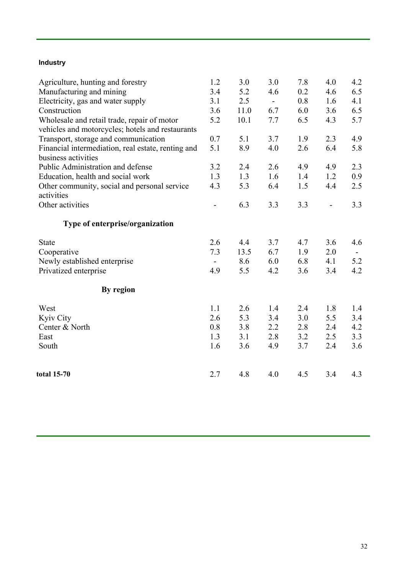# **Industry**

| Agriculture, hunting and forestry                  | 1.2    | 3.0  | 3.0                      | 7.8 | 4.0                      | 4.2 |
|----------------------------------------------------|--------|------|--------------------------|-----|--------------------------|-----|
| Manufacturing and mining                           | 3.4    | 5.2  | 4.6                      | 0.2 | 4.6                      | 6.5 |
| Electricity, gas and water supply                  | 3.1    | 2.5  | $\overline{\phantom{a}}$ | 0.8 | 1.6                      | 4.1 |
| Construction                                       | 3.6    | 11.0 | 6.7                      | 6.0 | 3.6                      | 6.5 |
| Wholesale and retail trade, repair of motor        | 5.2    | 10.1 | 7.7                      | 6.5 | 4.3                      | 5.7 |
| vehicles and motorcycles; hotels and restaurants   |        |      |                          |     |                          |     |
| Transport, storage and communication               | 0.7    | 5.1  | 3.7                      | 1.9 | 2.3                      | 4.9 |
| Financial intermediation, real estate, renting and | 5.1    | 8.9  | 4.0                      | 2.6 | 6.4                      | 5.8 |
| business activities                                |        |      |                          |     |                          |     |
| Public Administration and defense                  | 3.2    | 2.4  | 2.6                      | 4.9 | 4.9                      | 2.3 |
| Education, health and social work                  | 1.3    | 1.3  | 1.6                      | 1.4 | 1.2                      | 0.9 |
| Other community, social and personal service       | 4.3    | 5.3  | 6.4                      | 1.5 | 4.4                      | 2.5 |
| activities                                         |        |      |                          |     |                          |     |
| Other activities                                   |        | 6.3  | 3.3                      | 3.3 | $\overline{\phantom{0}}$ | 3.3 |
| Type of enterprise/organization                    |        |      |                          |     |                          |     |
| State                                              | 2.6    | 4.4  | 3.7                      | 4.7 | 3.6                      | 4.6 |
| Cooperative                                        | 7.3    | 13.5 | 6.7                      | 1.9 | 2.0                      |     |
| Newly established enterprise                       | $\sim$ | 8.6  | 6.0                      | 6.8 | 4.1                      | 5.2 |
| Privatized enterprise                              | 4.9    | 5.5  | 4.2                      | 3.6 | 3.4                      | 4.2 |
| By region                                          |        |      |                          |     |                          |     |
| West                                               | 1.1    | 2.6  | 1.4                      | 2.4 | 1.8                      | 1.4 |
| <b>Kyiv City</b>                                   | 2.6    | 5.3  | 3.4                      | 3.0 | 5.5                      | 3.4 |
| Center & North                                     | 0.8    | 3.8  | 2.2                      | 2.8 | 2.4                      | 4.2 |
| East                                               | 1.3    | 3.1  | 2.8                      | 3.2 | 2.5                      | 3.3 |
| South                                              | 1.6    | 3.6  | 4.9                      | 3.7 | 2.4                      | 3.6 |
|                                                    |        |      |                          |     |                          |     |
| total 15-70                                        | 2.7    | 4.8  | 4.0                      | 4.5 | 3.4                      | 4.3 |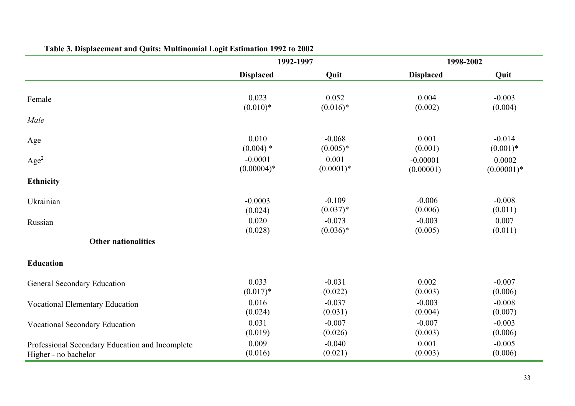|                                                 | 1992-1997        |             | 1998-2002        |              |
|-------------------------------------------------|------------------|-------------|------------------|--------------|
|                                                 | <b>Displaced</b> | Quit        | <b>Displaced</b> | Quit         |
| Female                                          | 0.023            | 0.052       | 0.004            | $-0.003$     |
|                                                 | $(0.010)*$       | $(0.016)*$  | (0.002)          | (0.004)      |
| Male                                            |                  |             |                  |              |
| Age                                             | 0.010            | $-0.068$    | 0.001            | $-0.014$     |
|                                                 | $(0.004)$ *      | $(0.005)*$  | (0.001)          | $(0.001)*$   |
| Age <sup>2</sup>                                | $-0.0001$        | 0.001       | $-0.00001$       | 0.0002       |
|                                                 | $(0.00004)*$     | $(0.0001)*$ | (0.00001)        | $(0.00001)*$ |
| <b>Ethnicity</b>                                |                  |             |                  |              |
| Ukrainian                                       | $-0.0003$        | $-0.109$    | $-0.006$         | $-0.008$     |
|                                                 | (0.024)          | $(0.037)*$  | (0.006)          | (0.011)      |
| Russian                                         | 0.020            | $-0.073$    | $-0.003$         | 0.007        |
|                                                 | (0.028)          | $(0.036)*$  | (0.005)          | (0.011)      |
| <b>Other nationalities</b>                      |                  |             |                  |              |
| <b>Education</b>                                |                  |             |                  |              |
| General Secondary Education                     | 0.033            | $-0.031$    | 0.002            | $-0.007$     |
|                                                 | $(0.017)*$       | (0.022)     | (0.003)          | (0.006)      |
| <b>Vocational Elementary Education</b>          | 0.016            | $-0.037$    | $-0.003$         | $-0.008$     |
|                                                 | (0.024)          | (0.031)     | (0.004)          | (0.007)      |
| Vocational Secondary Education                  | 0.031            | $-0.007$    | $-0.007$         | $-0.003$     |
|                                                 | (0.019)          | (0.026)     | (0.003)          | (0.006)      |
| Professional Secondary Education and Incomplete | 0.009            | $-0.040$    | 0.001            | $-0.005$     |
| Higher - no bachelor                            | (0.016)          | (0.021)     | (0.003)          | (0.006)      |

# **Table 3. Displacement and Quits: Multinomial Logit Estimation 1992 to 2002**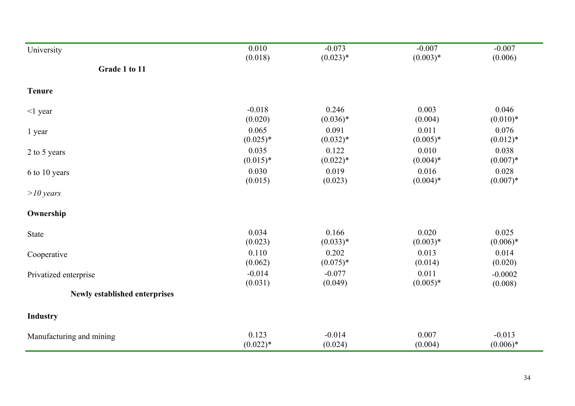| University                    | 0.010      | $-0.073$   | $-0.007$   | $-0.007$   |
|-------------------------------|------------|------------|------------|------------|
| Grade 1 to 11                 | (0.018)    | $(0.023)*$ | $(0.003)*$ | (0.006)    |
| <b>Tenure</b>                 |            |            |            |            |
| $\leq$ 1 year                 | $-0.018$   | 0.246      | 0.003      | 0.046      |
|                               | (0.020)    | $(0.036)*$ | (0.004)    | $(0.010)*$ |
| 1 year                        | 0.065      | 0.091      | 0.011      | 0.076      |
|                               | $(0.025)*$ | $(0.032)*$ | $(0.005)*$ | $(0.012)*$ |
| 2 to 5 years                  | 0.035      | 0.122      | 0.010      | 0.038      |
|                               | $(0.015)*$ | $(0.022)*$ | $(0.004)*$ | $(0.007)*$ |
| 6 to 10 years                 | 0.030      | 0.019      | 0.016      | 0.028      |
|                               | (0.015)    | (0.023)    | $(0.004)*$ | $(0.007)*$ |
| $>10$ years                   |            |            |            |            |
| Ownership                     |            |            |            |            |
| State                         | 0.034      | 0.166      | 0.020      | 0.025      |
|                               | (0.023)    | $(0.033)*$ | $(0.003)*$ | $(0.006)*$ |
| Cooperative                   | 0.110      | 0.202      | 0.013      | 0.014      |
|                               | (0.062)    | $(0.075)*$ | (0.014)    | (0.020)    |
| Privatized enterprise         | $-0.014$   | $-0.077$   | 0.011      | $-0.0002$  |
|                               | (0.031)    | (0.049)    | $(0.005)*$ | (0.008)    |
| Newly established enterprises |            |            |            |            |
| <b>Industry</b>               |            |            |            |            |
| Manufacturing and mining      | 0.123      | $-0.014$   | 0.007      | $-0.013$   |
|                               | $(0.022)*$ | (0.024)    | (0.004)    | $(0.006)*$ |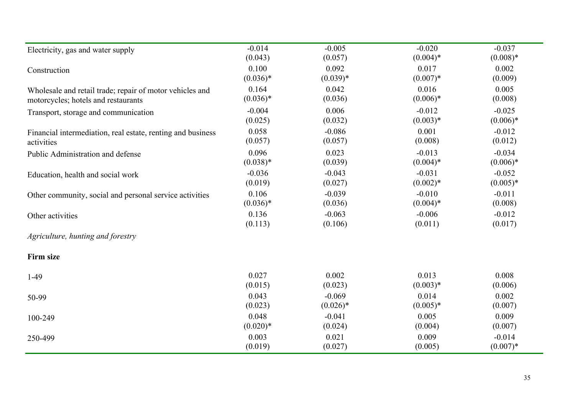| Electricity, gas and water supply                           | $-0.014$   | $-0.005$   | $-0.020$    | $-0.037$   |
|-------------------------------------------------------------|------------|------------|-------------|------------|
| Construction                                                | (0.043)    | (0.057)    | $(0.004)$ * | $(0.008)*$ |
|                                                             | 0.100      | 0.092      | 0.017       | 0.002      |
|                                                             | $(0.036)*$ | $(0.039)*$ | $(0.007)*$  | (0.009)    |
| Wholesale and retail trade; repair of motor vehicles and    | 0.164      | 0.042      | 0.016       | 0.005      |
| motorcycles; hotels and restaurants                         | $(0.036)*$ | (0.036)    | $(0.006)*$  | (0.008)    |
| Transport, storage and communication                        | $-0.004$   | 0.006      | $-0.012$    | $-0.025$   |
|                                                             | (0.025)    | (0.032)    | $(0.003)*$  | $(0.006)*$ |
| Financial intermediation, real estate, renting and business | 0.058      | $-0.086$   | 0.001       | $-0.012$   |
| activities                                                  | (0.057)    | (0.057)    | (0.008)     | (0.012)    |
| Public Administration and defense                           | 0.096      | 0.023      | $-0.013$    | $-0.034$   |
|                                                             | $(0.038)*$ | (0.039)    | $(0.004)*$  | $(0.006)*$ |
| Education, health and social work                           | $-0.036$   | $-0.043$   | $-0.031$    | $-0.052$   |
|                                                             | (0.019)    | (0.027)    | $(0.002)*$  | $(0.005)*$ |
| Other community, social and personal service activities     | 0.106      | $-0.039$   | $-0.010$    | $-0.011$   |
|                                                             | $(0.036)*$ | (0.036)    | $(0.004)$ * | (0.008)    |
| Other activities                                            | 0.136      | $-0.063$   | $-0.006$    | $-0.012$   |
|                                                             | (0.113)    | (0.106)    | (0.011)     | (0.017)    |
| Agriculture, hunting and forestry                           |            |            |             |            |
| <b>Firm size</b>                                            |            |            |             |            |
| $1-49$                                                      | 0.027      | 0.002      | 0.013       | 0.008      |
|                                                             | (0.015)    | (0.023)    | $(0.003)*$  | (0.006)    |
| 50-99                                                       | 0.043      | $-0.069$   | 0.014       | 0.002      |
|                                                             | (0.023)    | $(0.026)*$ | $(0.005)*$  | (0.007)    |
| 100-249                                                     | 0.048      | $-0.041$   | 0.005       | 0.009      |
|                                                             | $(0.020)*$ | (0.024)    | (0.004)     | (0.007)    |
| 250-499                                                     | 0.003      | 0.021      | 0.009       | $-0.014$   |
|                                                             | (0.019)    | (0.027)    | (0.005)     | $(0.007)*$ |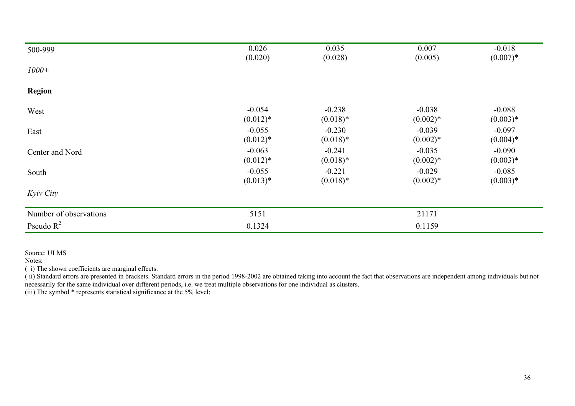| 500-999                | 0.026      | 0.035      | 0.007      | $-0.018$   |
|------------------------|------------|------------|------------|------------|
|                        | (0.020)    | (0.028)    | (0.005)    | $(0.007)*$ |
| $1000+$                |            |            |            |            |
| <b>Region</b>          |            |            |            |            |
| West                   | $-0.054$   | $-0.238$   | $-0.038$   | $-0.088$   |
|                        | $(0.012)*$ | $(0.018)*$ | $(0.002)*$ | $(0.003)*$ |
| East                   | $-0.055$   | $-0.230$   | $-0.039$   | $-0.097$   |
|                        | $(0.012)*$ | $(0.018)*$ | $(0.002)*$ | $(0.004)*$ |
| Center and Nord        | $-0.063$   | $-0.241$   | $-0.035$   | $-0.090$   |
|                        | $(0.012)*$ | $(0.018)*$ | $(0.002)*$ | $(0.003)*$ |
| South                  | $-0.055$   | $-0.221$   | $-0.029$   | $-0.085$   |
|                        | $(0.013)*$ | $(0.018)*$ | $(0.002)*$ | $(0.003)*$ |
| Kyiv City              |            |            |            |            |
| Number of observations | 5151       |            | 21171      |            |
| Pseudo $R^2$           | 0.1324     |            | 0.1159     |            |

Source: ULMS

Notes:

( i) The shown coefficients are marginal effects.

( ii) Standard errors are presented in brackets. Standard errors in the period 1998-2002 are obtained taking into account the fact that observations are independent among individuals but not necessarily for the same individual over different periods, i.e. we treat multiple observations for one individual as clusters.

(iii) The symbol \* represents statistical significance at the 5% level;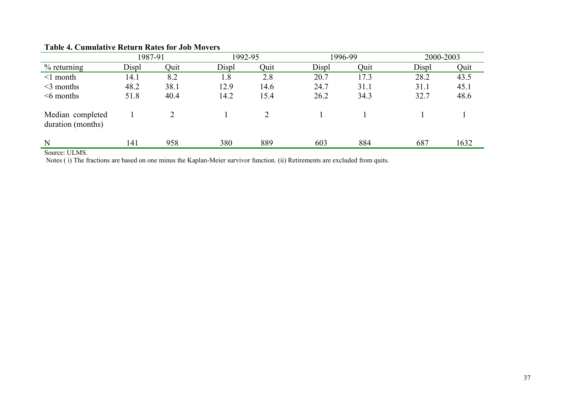|                                       | 1987-91 |      | 1992-95 |      | 1996-99 |      | 2000-2003 |      |
|---------------------------------------|---------|------|---------|------|---------|------|-----------|------|
| $%$ returning                         | Displ   | Quit | Displ   | Quit | Displ   | Quit | Displ     | Quit |
| $\leq 1$ month                        | 14.1    | 8.2  | 1.8     | 2.8  | 20.7    | 17.3 | 28.2      | 43.5 |
| $\leq$ months                         | 48.2    | 38.1 | 12.9    | 14.6 | 24.7    | 31.1 | 31.1      | 45.1 |
| $\leq 6$ months                       | 51.8    | 40.4 | 14.2    | 15.4 | 26.2    | 34.3 | 32.7      | 48.6 |
| Median completed<br>duration (months) |         |      |         |      |         |      |           |      |
| N                                     | 141     | 958  | 380     | 889  | 603     | 884  | 687       | 1632 |

#### **Table 4. Cumulative Return Rates for Job Movers**

Source: ULMS.

Notes ( i) The fractions are based on one minus the Kaplan-Meier survivor function. (ii) Retirements are excluded from quits.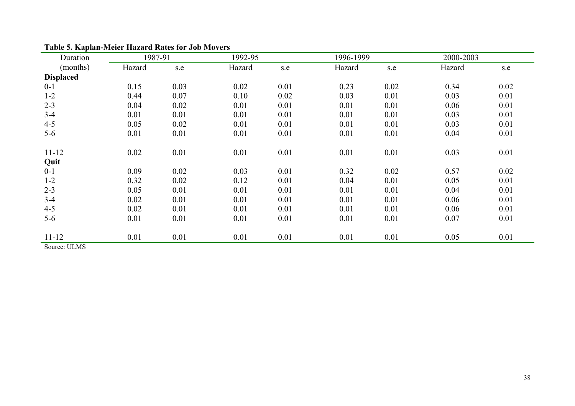| Duration         | 1987-91 |      | 1992-95 | 1996-1999<br>2000-2003 |        |      |        |      |  |  |
|------------------|---------|------|---------|------------------------|--------|------|--------|------|--|--|
| (months)         | Hazard  | s.e  | Hazard  | s.e                    | Hazard | s.e  | Hazard | s.e  |  |  |
| <b>Displaced</b> |         |      |         |                        |        |      |        |      |  |  |
| $0 - 1$          | 0.15    | 0.03 | 0.02    | 0.01                   | 0.23   | 0.02 | 0.34   | 0.02 |  |  |
| $1 - 2$          | 0.44    | 0.07 | 0.10    | 0.02                   | 0.03   | 0.01 | 0.03   | 0.01 |  |  |
| $2 - 3$          | 0.04    | 0.02 | 0.01    | 0.01                   | 0.01   | 0.01 | 0.06   | 0.01 |  |  |
| $3-4$            | 0.01    | 0.01 | 0.01    | 0.01                   | 0.01   | 0.01 | 0.03   | 0.01 |  |  |
| $4 - 5$          | 0.05    | 0.02 | 0.01    | 0.01                   | 0.01   | 0.01 | 0.03   | 0.01 |  |  |
| $5 - 6$          | 0.01    | 0.01 | 0.01    | 0.01                   | 0.01   | 0.01 | 0.04   | 0.01 |  |  |
| $11 - 12$        | 0.02    | 0.01 | 0.01    | 0.01                   | 0.01   | 0.01 | 0.03   | 0.01 |  |  |
| Quit             |         |      |         |                        |        |      |        |      |  |  |
| $0 - 1$          | 0.09    | 0.02 | 0.03    | 0.01                   | 0.32   | 0.02 | 0.57   | 0.02 |  |  |
| $1 - 2$          | 0.32    | 0.02 | 0.12    | 0.01                   | 0.04   | 0.01 | 0.05   | 0.01 |  |  |
| $2 - 3$          | 0.05    | 0.01 | 0.01    | 0.01                   | 0.01   | 0.01 | 0.04   | 0.01 |  |  |
| $3-4$            | 0.02    | 0.01 | 0.01    | 0.01                   | 0.01   | 0.01 | 0.06   | 0.01 |  |  |
| $4 - 5$          | 0.02    | 0.01 | 0.01    | 0.01                   | 0.01   | 0.01 | 0.06   | 0.01 |  |  |
| $5 - 6$          | 0.01    | 0.01 | 0.01    | 0.01                   | 0.01   | 0.01 | 0.07   | 0.01 |  |  |
| $11 - 12$        | 0.01    | 0.01 | 0.01    | 0.01                   | 0.01   | 0.01 | 0.05   | 0.01 |  |  |
| Source: ULMS     |         |      |         |                        |        |      |        |      |  |  |

# **Table 5. Kaplan-Meier Hazard Rates for Job Movers**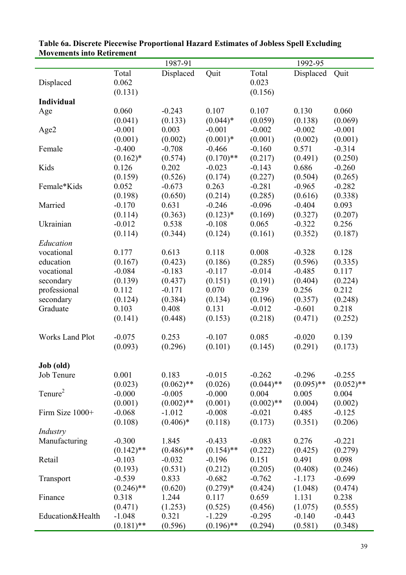| <b>NOVEMENTS MIT REAL EMENT</b> |              | 1987-91      |              |              | 1992-95      |              |
|---------------------------------|--------------|--------------|--------------|--------------|--------------|--------------|
|                                 | Total        | Displaced    |              | Total        | Displaced    |              |
|                                 |              |              | Quit         |              |              | Quit         |
| Displaced                       | 0.062        |              |              | 0.023        |              |              |
|                                 | (0.131)      |              |              | (0.156)      |              |              |
| <b>Individual</b>               |              |              |              |              |              |              |
| Age                             | 0.060        | $-0.243$     | 0.107        | 0.107        | 0.130        | 0.060        |
|                                 | (0.041)      | (0.133)      | $(0.044)*$   | (0.059)      | (0.138)      | (0.069)      |
| Age2                            | $-0.001$     | 0.003        | $-0.001$     | $-0.002$     | $-0.002$     | $-0.001$     |
|                                 | (0.001)      | (0.002)      | $(0.001)*$   | (0.001)      | (0.002)      | (0.001)      |
| Female                          | $-0.400$     | $-0.708$     | $-0.466$     | $-0.160$     | 0.571        | $-0.314$     |
|                                 | $(0.162)^*$  | (0.574)      | $(0.170)$ ** | (0.217)      | (0.491)      | (0.250)      |
| Kids                            | 0.126        | 0.202        | $-0.023$     | $-0.143$     | 0.686        | $-0.260$     |
|                                 | (0.159)      | (0.526)      | (0.174)      | (0.227)      | (0.504)      | (0.265)      |
| Female*Kids                     | 0.052        | $-0.673$     | 0.263        | $-0.281$     | $-0.965$     | $-0.282$     |
|                                 | (0.198)      | (0.650)      | (0.214)      | (0.285)      | (0.616)      | (0.338)      |
| Married                         | $-0.170$     | 0.631        | $-0.246$     | $-0.096$     | $-0.404$     | 0.093        |
|                                 | (0.114)      | (0.363)      | $(0.123)*$   | (0.169)      | (0.327)      | (0.207)      |
| Ukrainian                       | $-0.012$     | 0.538        | $-0.108$     | 0.065        | $-0.322$     | 0.256        |
|                                 | (0.114)      | (0.344)      | (0.124)      | (0.161)      | (0.352)      | (0.187)      |
| Education                       |              |              |              |              |              |              |
| vocational                      | 0.177        | 0.613        | 0.118        | 0.008        | $-0.328$     | 0.128        |
| education                       | (0.167)      | (0.423)      | (0.186)      | (0.285)      | (0.596)      | (0.335)      |
| vocational                      | $-0.084$     | $-0.183$     | $-0.117$     | $-0.014$     | $-0.485$     | 0.117        |
| secondary                       | (0.139)      | (0.437)      | (0.151)      | (0.191)      | (0.404)      | (0.224)      |
| professional                    | 0.112        | $-0.171$     | 0.070        | 0.239        | 0.256        | 0.212        |
| secondary                       | (0.124)      | (0.384)      | (0.134)      | (0.196)      | (0.357)      | (0.248)      |
| Graduate                        | 0.103        | 0.408        | 0.131        | $-0.012$     | $-0.601$     | 0.218        |
|                                 | (0.141)      | (0.448)      | (0.153)      | (0.218)      | (0.471)      | (0.252)      |
|                                 |              |              |              |              |              |              |
| <b>Works Land Plot</b>          | $-0.075$     | 0.253        | $-0.107$     | 0.085        | $-0.020$     | 0.139        |
|                                 | (0.093)      | (0.296)      | (0.101)      | (0.145)      | (0.291)      | (0.173)      |
|                                 |              |              |              |              |              |              |
| Job (old)                       |              |              |              |              |              |              |
| Job Tenure                      | 0.001        | 0.183        | $-0.015$     | $-0.262$     | $-0.296$     | $-0.255$     |
|                                 | (0.023)      | $(0.062)$ ** | (0.026)      | $(0.044)$ ** | $(0.095)$ ** | $(0.052)$ ** |
| Tenure <sup>2</sup>             | $-0.000$     | $-0.005$     | $-0.000$     | 0.004        | 0.005        | 0.004        |
|                                 | (0.001)      | $(0.002)$ ** | (0.001)      | $(0.002)$ ** | (0.004)      | (0.002)      |
| Firm Size 1000+                 | $-0.068$     | $-1.012$     | $-0.008$     | $-0.021$     | 0.485        | $-0.125$     |
|                                 |              |              |              |              |              |              |
|                                 | (0.108)      | $(0.406)*$   | (0.118)      | (0.173)      | (0.351)      | (0.206)      |
| Industry                        |              |              |              |              |              |              |
| Manufacturing                   | $-0.300$     | 1.845        | $-0.433$     | $-0.083$     | 0.276        | $-0.221$     |
|                                 | $(0.142)$ ** | $(0.486)$ ** | $(0.154)$ ** | (0.222)      | (0.425)      | (0.279)      |
| Retail                          | $-0.103$     | $-0.032$     | $-0.196$     | 0.151        | 0.491        | 0.098        |
|                                 | (0.193)      | (0.531)      | (0.212)      | (0.205)      | (0.408)      | (0.246)      |
| Transport                       | $-0.539$     | 0.833        | $-0.682$     | $-0.762$     | $-1.173$     | $-0.699$     |
|                                 | $(0.246)$ ** | (0.620)      | $(0.279)*$   | (0.424)      | (1.048)      | (0.474)      |
| Finance                         | 0.318        | 1.244        | 0.117        | 0.659        | 1.131        | 0.238        |
|                                 | (0.471)      | (1.253)      | (0.525)      | (0.456)      | (1.075)      | (0.555)      |
| Education&Health                | $-1.048$     | 0.321        | $-1.229$     | $-0.295$     | $-0.140$     | $-0.443$     |
|                                 | $(0.181)$ ** | (0.596)      | $(0.196)$ ** | (0.294)      | (0.581)      | (0.348)      |

| Table 6a. Discrete Piecewise Proportional Hazard Estimates of Jobless Spell Excluding |
|---------------------------------------------------------------------------------------|
| <b>Movements into Retirement</b>                                                      |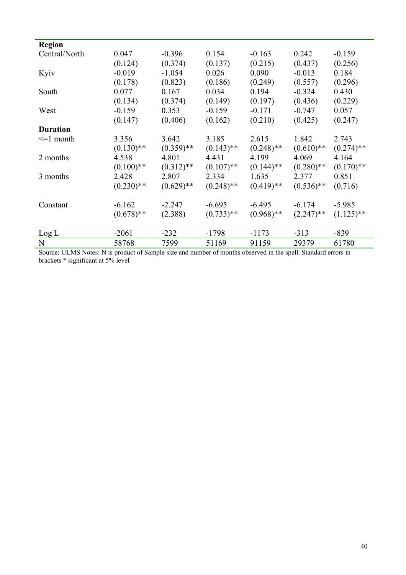| <b>Region</b>   |              |              |              |              |              |              |
|-----------------|--------------|--------------|--------------|--------------|--------------|--------------|
| Central/North   | 0.047        | $-0.396$     | 0.154        | $-0.163$     | 0.242        | $-0.159$     |
|                 | (0.124)      | (0.374)      | (0.137)      | (0.215)      | (0.437)      | (0.256)      |
| Kyiv            | $-0.019$     | $-1.054$     | 0.026        | 0.090        | $-0.013$     | 0.184        |
|                 |              |              |              |              |              |              |
|                 | (0.178)      | (0.823)      | (0.186)      | (0.249)      | (0.557)      | (0.296)      |
| South           | 0.077        | 0.167        | 0.034        | 0.194        | $-0.324$     | 0.430        |
|                 | (0.134)      | (0.374)      | (0.149)      | (0.197)      | (0.436)      | (0.229)      |
| West            | $-0.159$     | 0.353        | $-0.159$     | $-0.171$     | $-0.747$     | 0.057        |
|                 | (0.147)      | (0.406)      | (0.162)      | (0.210)      | (0.425)      | (0.247)      |
| <b>Duration</b> |              |              |              |              |              |              |
| $\leq 1$ month  | 3.356        | 3.642        | 3.185        | 2.615        | 1.842        | 2.743        |
|                 | $(0.130)$ ** | $(0.359)$ ** | $(0.143)$ ** | $(0.248)$ ** | $(0.610)$ ** | $(0.274)$ ** |
| 2 months        | 4.538        | 4.801        | 4.431        | 4.199        | 4.069        | 4.164        |
|                 | $(0.100)$ ** | $(0.312)$ ** | $(0.107)$ ** | $(0.144)$ ** | $(0.280)$ ** | $(0.170)$ ** |
| 3 months        | 2.428        | 2.807        | 2.334        | 1.635        | 2.377        | 0.851        |
|                 | $(0.230)$ ** | $(0.629)$ ** | $(0.248)$ ** | $(0.419)$ ** | $(0.536)$ ** | (0.716)      |
| Constant        | $-6.162$     | $-2.247$     | $-6.695$     | $-6.495$     | $-6.174$     | $-5.985$     |
|                 | $(0.678)$ ** | (2.388)      | $(0.733)$ ** | $(0.968)$ ** | $(2.247)$ ** | $(1.125)$ ** |
|                 |              |              |              |              |              |              |
| Log L           | $-2061$      | $-232$       | $-1798$      | $-1173$      | $-313$       | $-839$       |
| N               | 58768        | 7599         | 51169        | 91159        | 29379        | 61780        |

Source: ULMS Notes: N is product of Sample size and number of months observed in the spell. Standard errors in brackets \* significant at 5% level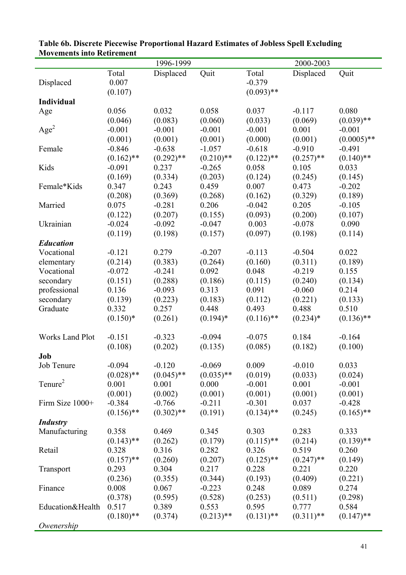| <b>MOVEMENTS MIT REIN EMENT</b> |              |              |              |              |              |               |
|---------------------------------|--------------|--------------|--------------|--------------|--------------|---------------|
|                                 |              | 1996-1999    |              |              | 2000-2003    |               |
|                                 | Total        | Displaced    | Quit         | Total        | Displaced    | Quit          |
| Displaced                       | 0.007        |              |              | $-0.379$     |              |               |
|                                 | (0.107)      |              |              | $(0.093)$ ** |              |               |
| <b>Individual</b>               |              |              |              |              |              |               |
| Age                             | 0.056        | 0.032        | 0.058        | 0.037        | $-0.117$     | 0.080         |
|                                 | (0.046)      | (0.083)      | (0.060)      | (0.033)      | (0.069)      | $(0.039)$ **  |
| Age <sup>2</sup>                | $-0.001$     | $-0.001$     | $-0.001$     | $-0.001$     | 0.001        | $-0.001$      |
|                                 | (0.001)      | (0.001)      | (0.001)      | (0.000)      | (0.001)      | $(0.0005)$ ** |
| Female                          | $-0.846$     | $-0.638$     | $-1.057$     | $-0.618$     | $-0.910$     | $-0.491$      |
|                                 | $(0.162)$ ** | $(0.292)$ ** | $(0.210)$ ** | $(0.122)$ ** | $(0.257)$ ** | $(0.140)$ **  |
| Kids                            | $-0.091$     | 0.237        | $-0.265$     | 0.058        | 0.105        | 0.033         |
|                                 | (0.169)      |              |              |              |              |               |
|                                 |              | (0.334)      | (0.203)      | (0.124)      | (0.245)      | (0.145)       |
| Female*Kids                     | 0.347        | 0.243        | 0.459        | 0.007        | 0.473        | $-0.202$      |
|                                 | (0.208)      | (0.369)      | (0.268)      | (0.162)      | (0.329)      | (0.189)       |
| Married                         | 0.075        | $-0.281$     | 0.206        | $-0.042$     | 0.205        | $-0.105$      |
|                                 | (0.122)      | (0.207)      | (0.155)      | (0.093)      | (0.200)      | (0.107)       |
| Ukrainian                       | $-0.024$     | $-0.092$     | $-0.047$     | 0.003        | $-0.078$     | 0.090         |
|                                 | (0.119)      | (0.198)      | (0.157)      | (0.097)      | (0.198)      | (0.114)       |
| <b>Education</b>                |              |              |              |              |              |               |
| Vocational                      | $-0.121$     | 0.279        | $-0.207$     | $-0.113$     | $-0.504$     | 0.022         |
| elementary                      | (0.214)      | (0.383)      | (0.264)      | (0.160)      | (0.311)      | (0.189)       |
| Vocational                      | $-0.072$     | $-0.241$     | 0.092        | 0.048        | $-0.219$     | 0.155         |
| secondary                       | (0.151)      | (0.288)      | (0.186)      | (0.115)      | (0.240)      | (0.134)       |
| professional                    | 0.136        | $-0.093$     | 0.313        | 0.091        | $-0.060$     | 0.214         |
| secondary                       | (0.139)      | (0.223)      | (0.183)      | (0.112)      | (0.221)      | (0.133)       |
| Graduate                        | 0.332        | 0.257        | 0.448        | 0.493        | 0.488        | 0.510         |
|                                 | $(0.150)*$   | (0.261)      | $(0.194)$ *  | $(0.116)$ ** | $(0.234)*$   | $(0.136)$ **  |
|                                 |              |              |              |              |              |               |
| <b>Works Land Plot</b>          | $-0.151$     | $-0.323$     | $-0.094$     | $-0.075$     | 0.184        | $-0.164$      |
|                                 |              |              |              |              |              |               |
|                                 | (0.108)      | (0.202)      | (0.135)      | (0.085)      | (0.182)      | (0.100)       |
| Job                             |              |              |              |              |              |               |
| Job Tenure                      | $-0.094$     | $-0.120$     | $-0.069$     | 0.009        | $-0.010$     | 0.033         |
|                                 | $(0.028)$ ** | $(0.045)$ ** | $(0.035)$ ** | (0.019)      | (0.033)      | (0.024)       |
| Tenure <sup>2</sup>             | 0.001        | 0.001        | 0.000        | $-0.001$     | 0.001        | $-0.001$      |
|                                 | (0.001)      | (0.002)      | (0.001)      | (0.001)      | (0.001)      | (0.001)       |
| Firm Size 1000+                 | $-0.384$     | $-0.766$     | $-0.211$     | $-0.301$     | 0.037        | $-0.428$      |
|                                 | $(0.156)$ ** | $(0.302)$ ** | (0.191)      | $(0.134)$ ** | (0.245)      | $(0.165)$ **  |
| <b>Industry</b>                 |              |              |              |              |              |               |
| Manufacturing                   | 0.358        | 0.469        | 0.345        | 0.303        | 0.283        | 0.333         |
|                                 | $(0.143)$ ** | (0.262)      | (0.179)      | $(0.115)$ ** | (0.214)      | $(0.139)$ **  |
| Retail                          | 0.328        | 0.316        | 0.282        | 0.326        | 0.519        | 0.260         |
|                                 | $(0.157)$ ** | (0.260)      | (0.207)      | $(0.125)$ ** | $(0.247)$ ** | (0.149)       |
| Transport                       | 0.293        | 0.304        | 0.217        | 0.228        | 0.221        | 0.220         |
|                                 | (0.236)      | (0.355)      | (0.344)      | (0.193)      | (0.409)      | (0.221)       |
|                                 | 0.008        | 0.067        | $-0.223$     | 0.248        | 0.089        | 0.274         |
| Finance                         |              |              |              |              |              |               |
|                                 | (0.378)      | (0.595)      | (0.528)      | (0.253)      | (0.511)      | (0.298)       |
| Education&Health                | 0.517        | 0.389        | 0.553        | 0.595        | 0.777        | 0.584         |
|                                 | $(0.180)$ ** | (0.374)      | $(0.213)$ ** | $(0.131)$ ** | $(0.311)$ ** | $(0.147)$ **  |
| Owenership                      |              |              |              |              |              |               |

| Table 6b. Discrete Piecewise Proportional Hazard Estimates of Jobless Spell Excluding |  |
|---------------------------------------------------------------------------------------|--|
| <b>Movements into Retirement</b>                                                      |  |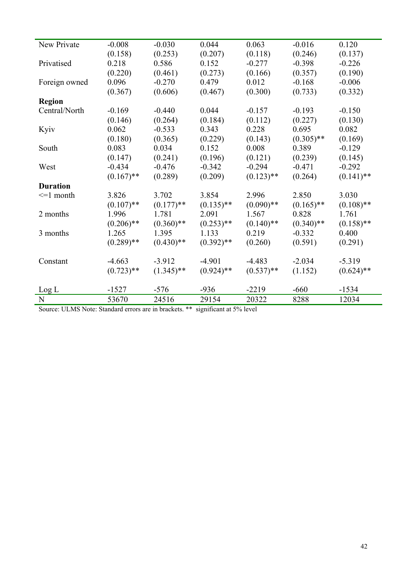| New Private     | $-0.008$     | $-0.030$     | 0.044        | 0.063        | $-0.016$     | 0.120        |
|-----------------|--------------|--------------|--------------|--------------|--------------|--------------|
|                 | (0.158)      | (0.253)      | (0.207)      | (0.118)      | (0.246)      | (0.137)      |
| Privatised      | 0.218        | 0.586        | 0.152        | $-0.277$     | $-0.398$     | $-0.226$     |
|                 | (0.220)      | (0.461)      | (0.273)      | (0.166)      | (0.357)      | (0.190)      |
| Foreign owned   | 0.096        | $-0.270$     | 0.479        | 0.012        | $-0.168$     | $-0.006$     |
|                 | (0.367)      | (0.606)      | (0.467)      | (0.300)      | (0.733)      | (0.332)      |
| <b>Region</b>   |              |              |              |              |              |              |
| Central/North   | $-0.169$     | $-0.440$     | 0.044        | $-0.157$     | $-0.193$     | $-0.150$     |
|                 | (0.146)      | (0.264)      | (0.184)      | (0.112)      | (0.227)      | (0.130)      |
| Kyiv            | 0.062        | $-0.533$     | 0.343        | 0.228        | 0.695        | 0.082        |
|                 | (0.180)      | (0.365)      | (0.229)      | (0.143)      | $(0.305)$ ** | (0.169)      |
| South           | 0.083        | 0.034        | 0.152        | 0.008        | 0.389        | $-0.129$     |
|                 | (0.147)      | (0.241)      | (0.196)      | (0.121)      | (0.239)      | (0.145)      |
| West            | $-0.434$     | $-0.476$     | $-0.342$     | $-0.294$     | $-0.471$     | $-0.292$     |
|                 | $(0.167)$ ** | (0.289)      | (0.209)      | $(0.123)$ ** | (0.264)      | $(0.141)$ ** |
| <b>Duration</b> |              |              |              |              |              |              |
| $\leq$ 1 month  | 3.826        | 3.702        | 3.854        | 2.996        | 2.850        | 3.030        |
|                 | $(0.107)$ ** | $(0.177)$ ** | $(0.135)$ ** | $(0.090)$ ** | $(0.165)$ ** | $(0.108)$ ** |
| 2 months        | 1.996        | 1.781        | 2.091        | 1.567        | 0.828        | 1.761        |
|                 | $(0.206)$ ** | $(0.360)$ ** | $(0.253)$ ** | $(0.140)$ ** | $(0.340)$ ** | $(0.158)$ ** |
| 3 months        | 1.265        | 1.395        | 1.133        | 0.219        | $-0.332$     | 0.400        |
|                 | $(0.289)$ ** | $(0.430)$ ** | $(0.392)$ ** | (0.260)      | (0.591)      | (0.291)      |
|                 |              |              |              |              |              |              |
| Constant        | $-4.663$     | $-3.912$     | $-4.901$     | $-4.483$     | $-2.034$     | $-5.319$     |
|                 | $(0.723)$ ** | $(1.345)$ ** | $(0.924)$ ** | $(0.537)$ ** | (1.152)      | $(0.624)$ ** |
|                 |              |              |              |              |              |              |
| Log L           | $-1527$      | $-576$       | $-936$       | $-2219$      | $-660$       | $-1534$      |
| N               | 53670        | 24516        | 29154        | 20322        | 8288         | 12034        |

Source: ULMS Note: Standard errors are in brackets. \*\* significant at 5% level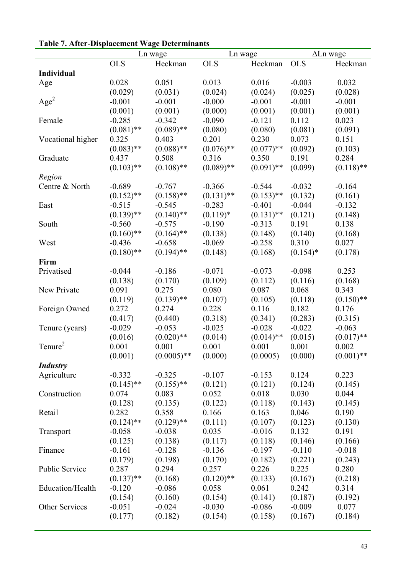|                     |              | Ln wage<br>Ln wage |              |              | $\Delta$ Ln wage |              |
|---------------------|--------------|--------------------|--------------|--------------|------------------|--------------|
|                     | <b>OLS</b>   | Heckman            | <b>OLS</b>   | Heckman      | <b>OLS</b>       | Heckman      |
| <b>Individual</b>   |              |                    |              |              |                  |              |
| Age                 | 0.028        | 0.051              | 0.013        | 0.016        | $-0.003$         | 0.032        |
|                     | (0.029)      | (0.031)            | (0.024)      | (0.024)      | (0.025)          | (0.028)      |
| Age <sup>2</sup>    | $-0.001$     | $-0.001$           | $-0.000$     | $-0.001$     | $-0.001$         | $-0.001$     |
|                     | (0.001)      | (0.001)            | (0.000)      | (0.001)      | (0.001)          | (0.001)      |
| Female              | $-0.285$     | $-0.342$           | $-0.090$     | $-0.121$     | 0.112            | 0.023        |
|                     | $(0.081)$ ** | $(0.089)$ **       | (0.080)      | (0.080)      | (0.081)          | (0.091)      |
| Vocational higher   | 0.325        | 0.403              | 0.201        | 0.230        | 0.073            | 0.151        |
|                     | $(0.083)$ ** | $(0.088)$ **       | $(0.076)$ ** | $(0.077)$ ** | (0.092)          | (0.103)      |
| Graduate            | 0.437        | 0.508              | 0.316        | 0.350        | 0.191            | 0.284        |
|                     | $(0.103)$ ** | $(0.108)$ **       | $(0.089)$ ** | $(0.091)$ ** | (0.099)          | $(0.118)$ ** |
| Region              |              |                    |              |              |                  |              |
| Centre & North      | $-0.689$     | $-0.767$           | $-0.366$     | $-0.544$     | $-0.032$         | $-0.164$     |
|                     | $(0.152)$ ** | $(0.158)$ **       | $(0.131)$ ** | $(0.153)$ ** | (0.132)          | (0.161)      |
| East                | $-0.515$     | $-0.545$           | $-0.283$     | $-0.401$     | $-0.044$         | $-0.132$     |
|                     | $(0.139)$ ** | $(0.140)$ **       | $(0.119)*$   | $(0.131)$ ** | (0.121)          | (0.148)      |
| South               | $-0.560$     | $-0.575$           | $-0.190$     | $-0.313$     | 0.191            | 0.138        |
|                     | $(0.160)$ ** | $(0.164)$ **       | (0.138)      | (0.148)      | (0.140)          | (0.168)      |
| West                | $-0.436$     | $-0.658$           | $-0.069$     | $-0.258$     | 0.310            | 0.027        |
|                     | $(0.180)$ ** | $(0.194)$ **       | (0.148)      | (0.168)      | $(0.154)$ *      | (0.178)      |
| Firm                |              |                    |              |              |                  |              |
| Privatised          | $-0.044$     | $-0.186$           | $-0.071$     | $-0.073$     | $-0.098$         | 0.253        |
|                     | (0.138)      | (0.170)            | (0.109)      | (0.112)      | (0.116)          | (0.168)      |
| New Private         | 0.091        | 0.275              | 0.080        | 0.087        | 0.068            | 0.343        |
|                     | (0.119)      | $(0.139)$ **       | (0.107)      | (0.105)      | (0.118)          | $(0.150)$ ** |
| Foreign Owned       | 0.272        | 0.274              | 0.228        | 0.116        | 0.182            | 0.176        |
|                     | (0.417)      | (0.440)            | (0.318)      | (0.341)      | (0.283)          | (0.315)      |
| Tenure (years)      | $-0.029$     | $-0.053$           | $-0.025$     | $-0.028$     | $-0.022$         | $-0.063$     |
|                     | (0.016)      | $(0.020)$ **       | (0.014)      | $(0.014)$ ** | (0.015)          | $(0.017)$ ** |
| Tenure <sup>2</sup> | 0.001        | 0.001              | 0.001        | 0.001        | 0.001            | 0.002        |
|                     | (0.001)      | $(0.0005)$ **      | (0.000)      | (0.0005)     | (0.000)          | $(0.001)$ ** |
| <b>Industry</b>     |              |                    |              |              |                  |              |
| Agriculture         | $-0.332$     | $-0.325$           | $-0.107$     | $-0.153$     | 0.124            | 0.223        |
|                     | $(0.145)$ ** | $(0.155)$ **       | (0.121)      | (0.121)      | (0.124)          | (0.145)      |
| Construction        | 0.074        | 0.083              | 0.052        | 0.018        | 0.030            | 0.044        |
|                     | (0.128)      | (0.135)            | (0.122)      | (0.118)      | (0.143)          | (0.145)      |
| Retail              | 0.282        | 0.358              | 0.166        | 0.163        | 0.046            | 0.190        |
|                     | $(0.124)$ ** | $(0.129)$ **       | (0.111)      | (0.107)      | (0.123)          | (0.130)      |
| Transport           | $-0.058$     | $-0.038$           | 0.035        | $-0.016$     | 0.132            | 0.191        |
|                     | (0.125)      | (0.138)            | (0.117)      | (0.118)      | (0.146)          | (0.166)      |
| Finance             | $-0.161$     | $-0.128$           | $-0.136$     | $-0.197$     | $-0.110$         | $-0.018$     |
|                     | (0.179)      | (0.198)            | (0.170)      | (0.182)      | (0.221)          | (0.243)      |
| Public Service      | 0.287        | 0.294              | 0.257        | 0.226        | 0.225            | 0.280        |
|                     | $(0.137)$ ** | (0.168)            | $(0.120)$ ** | (0.133)      | (0.167)          | (0.218)      |
| Education/Health    | $-0.120$     | $-0.086$           | 0.058        | 0.061        | 0.242            | 0.314        |
|                     | (0.154)      | (0.160)            | (0.154)      | (0.141)      | (0.187)          | (0.192)      |
| Other Services      | $-0.051$     | $-0.024$           | $-0.030$     | $-0.086$     | $-0.009$         | 0.077        |
|                     | (0.177)      | (0.182)            | (0.154)      | (0.158)      | (0.167)          | (0.184)      |
|                     |              |                    |              |              |                  |              |

# **Table 7. After-Displacement Wage Determinants**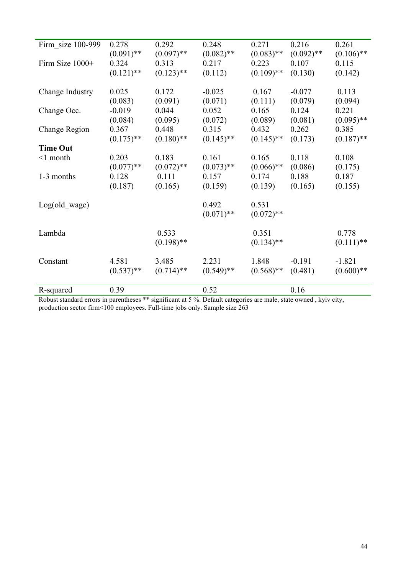| Firm size 100-999 | 0.278                 | 0.292                 | 0.248                 | 0.271                 | 0.216                 | 0.261                 |
|-------------------|-----------------------|-----------------------|-----------------------|-----------------------|-----------------------|-----------------------|
| Firm Size 1000+   | $(0.091)$ **<br>0.324 | $(0.097)$ **<br>0.313 | $(0.082)$ **<br>0.217 | $(0.083)$ **<br>0.223 | $(0.092)$ **<br>0.107 | $(0.106)$ **<br>0.115 |
|                   | $(0.121)$ **          | $(0.123)$ **          | (0.112)               | $(0.109)$ **          | (0.130)               | (0.142)               |
|                   |                       |                       |                       |                       |                       |                       |
| Change Industry   | 0.025                 | 0.172                 | $-0.025$              | 0.167                 | $-0.077$              | 0.113                 |
| Change Occ.       | (0.083)<br>$-0.019$   | (0.091)<br>0.044      | (0.071)<br>0.052      | (0.111)<br>0.165      | (0.079)<br>0.124      | (0.094)<br>0.221      |
|                   | (0.084)               | (0.095)               | (0.072)               | (0.089)               | (0.081)               | $(0.095)$ **          |
| Change Region     | 0.367                 | 0.448                 | 0.315                 | 0.432                 | 0.262                 | 0.385                 |
| <b>Time Out</b>   | $(0.175)$ **          | $(0.180)$ **          | $(0.145)$ **          | $(0.145)$ **          | (0.173)               | $(0.187)$ **          |
| $\leq 1$ month    | 0.203                 | 0.183                 | 0.161                 | 0.165                 | 0.118                 | 0.108                 |
|                   | $(0.077)$ **          | $(0.072)$ **          | $(0.073)$ **          | $(0.066)$ **          | (0.086)               | (0.175)               |
| 1-3 months        | 0.128                 | 0.111                 | 0.157                 | 0.174                 | 0.188                 | 0.187                 |
|                   | (0.187)               | (0.165)               | (0.159)               | (0.139)               | (0.165)               | (0.155)               |
| Log(old wage)     |                       |                       | 0.492                 | 0.531                 |                       |                       |
|                   |                       |                       | $(0.071)$ **          | $(0.072)$ **          |                       |                       |
| Lambda            |                       | 0.533                 |                       | 0.351                 |                       | 0.778                 |
|                   |                       | $(0.198)$ **          |                       | $(0.134)$ **          |                       | $(0.111)$ **          |
|                   |                       |                       |                       |                       |                       |                       |
| Constant          | 4.581                 | 3.485                 | 2.231                 | 1.848                 | $-0.191$              | $-1.821$              |
|                   | $(0.537)$ **          | $(0.714)$ **          | $(0.549)$ **          | $(0.568)$ **          | (0.481)               | $(0.600)**$           |
| R-squared         | 0.39                  |                       | 0.52                  |                       | 0.16                  |                       |

Robust standard errors in parentheses \*\* significant at 5 %. Default categories are male, state owned , kyiv city, production sector firm<100 employees. Full-time jobs only. Sample size 263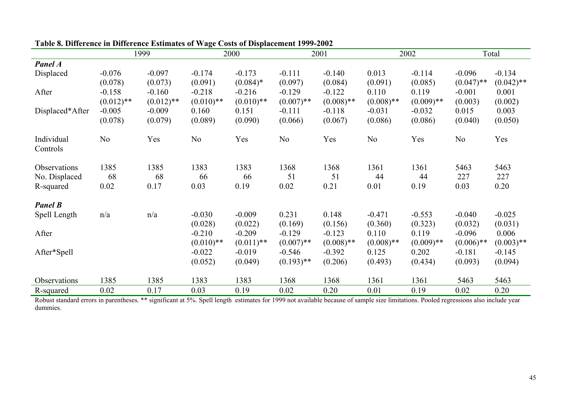|                        |                | 1999         |                     | 2000                |                  | 2001             |                     | 2002                |                     | Total               |
|------------------------|----------------|--------------|---------------------|---------------------|------------------|------------------|---------------------|---------------------|---------------------|---------------------|
| Panel A                |                |              |                     |                     |                  |                  |                     |                     |                     |                     |
| Displaced              | $-0.076$       | $-0.097$     | $-0.174$            | $-0.173$            | $-0.111$         | $-0.140$         | 0.013               | $-0.114$            | $-0.096$            | $-0.134$            |
|                        | (0.078)        | (0.073)      | (0.091)             | $(0.084)*$          | (0.097)          | (0.084)          | (0.091)             | (0.085)             | $(0.047)$ **        | $(0.042)$ **        |
| After                  | $-0.158$       | $-0.160$     | $-0.218$            | $-0.216$            | $-0.129$         | $-0.122$         | 0.110               | 0.119               | $-0.001$            | 0.001               |
|                        | $(0.012)$ **   | $(0.012)$ ** | $(0.010)$ **        | $(0.010)**$         | $(0.007)$ **     | $(0.008)$ **     | $(0.008)$ **        | $(0.009)$ **        | (0.003)             | (0.002)             |
| Displaced*After        | $-0.005$       | $-0.009$     | 0.160               | 0.151               | $-0.111$         | $-0.118$         | $-0.031$            | $-0.032$            | 0.015               | 0.003               |
|                        | (0.078)        | (0.079)      | (0.089)             | (0.090)             | (0.066)          | (0.067)          | (0.086)             | (0.086)             | (0.040)             | (0.050)             |
| Individual<br>Controls | N <sub>0</sub> | Yes          | N <sub>0</sub>      | Yes                 | No               | Yes              | N <sub>0</sub>      | Yes                 | No                  | Yes                 |
| Observations           | 1385           | 1385         | 1383                | 1383                | 1368             | 1368             | 1361                | 1361                | 5463                | 5463                |
| No. Displaced          | 68             | 68           | 66                  | 66                  | 51               | 51               | 44                  | 44                  | 227                 | 227                 |
| R-squared              | 0.02           | 0.17         | 0.03                | 0.19                | 0.02             | 0.21             | 0.01                | 0.19                | 0.03                | 0.20                |
| <b>Panel B</b>         |                |              |                     |                     |                  |                  |                     |                     |                     |                     |
| Spell Length           | n/a            | n/a          | $-0.030$<br>(0.028) | $-0.009$<br>(0.022) | 0.231<br>(0.169) | 0.148<br>(0.156) | $-0.471$<br>(0.360) | $-0.553$<br>(0.323) | $-0.040$<br>(0.032) | $-0.025$<br>(0.031) |
| After                  |                |              | $-0.210$            | $-0.209$            | $-0.129$         | $-0.123$         | 0.110               | 0.119               | $-0.096$            | 0.006               |
|                        |                |              | $(0.010)**$         | $(0.011)$ **        | $(0.007)$ **     | $(0.008)$ **     | $(0.008)$ **        | $(0.009)$ **        | $(0.006)$ **        | $(0.003)$ **        |
| After*Spell            |                |              | $-0.022$            | $-0.019$            | $-0.546$         | $-0.392$         | 0.125               | 0.202               | $-0.181$            | $-0.145$            |
|                        |                |              | (0.052)             | (0.049)             | $(0.193)$ **     | (0.206)          | (0.493)             | (0.434)             | (0.093)             | (0.094)             |
| Observations           | 1385           | 1385         | 1383                | 1383                | 1368             | 1368             | 1361                | 1361                | 5463                | 5463                |
| R-squared              | 0.02           | 0.17         | 0.03                | 0.19                | 0.02             | 0.20             | 0.01                | 0.19                | 0.02                | 0.20                |

## **Table 8. Difference in Difference Estimates of Wage Costs of Displacement 1999-2002**

Robust standard errors in parentheses. \*\* significant at 5%. Spell length estimates for 1999 not available because of sample size limitations. Pooled regressions also include year dummies.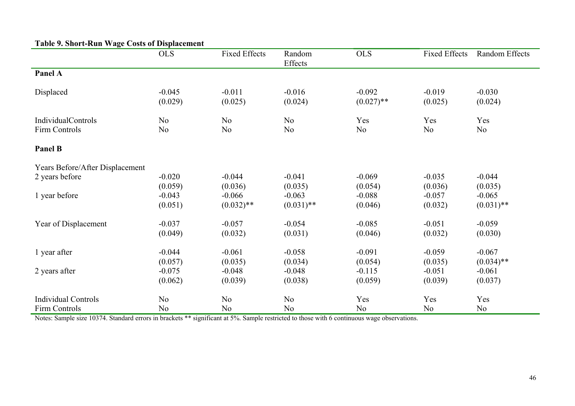| Table 9. Short-Kull wage Costs of Displacement |                     |                          |                          |                          |                      |                          |
|------------------------------------------------|---------------------|--------------------------|--------------------------|--------------------------|----------------------|--------------------------|
|                                                | <b>OLS</b>          | <b>Fixed Effects</b>     | Random<br>Effects        | <b>OLS</b>               | <b>Fixed Effects</b> | Random Effects           |
| Panel A                                        |                     |                          |                          |                          |                      |                          |
| Displaced                                      | $-0.045$<br>(0.029) | $-0.011$<br>(0.025)      | $-0.016$<br>(0.024)      | $-0.092$<br>$(0.027)$ ** | $-0.019$<br>(0.025)  | $-0.030$<br>(0.024)      |
| <b>IndividualControls</b>                      | N <sub>o</sub>      | N <sub>0</sub>           | N <sub>o</sub>           | Yes                      | Yes                  | Yes                      |
| Firm Controls                                  | N <sub>0</sub>      | N <sub>0</sub>           | No                       | N <sub>0</sub>           | N <sub>o</sub>       | N <sub>0</sub>           |
| Panel B                                        |                     |                          |                          |                          |                      |                          |
| Years Before/After Displacement                |                     |                          |                          |                          |                      |                          |
| 2 years before                                 | $-0.020$            | $-0.044$                 | $-0.041$                 | $-0.069$                 | $-0.035$             | $-0.044$                 |
|                                                | (0.059)             | (0.036)                  | (0.035)                  | (0.054)                  | (0.036)              | (0.035)                  |
| 1 year before                                  | $-0.043$<br>(0.051) | $-0.066$<br>$(0.032)$ ** | $-0.063$<br>$(0.031)$ ** | $-0.088$<br>(0.046)      | $-0.057$<br>(0.032)  | $-0.065$<br>$(0.031)$ ** |
| Year of Displacement                           | $-0.037$            | $-0.057$                 | $-0.054$                 | $-0.085$                 | $-0.051$             | $-0.059$                 |
|                                                | (0.049)             | (0.032)                  | (0.031)                  | (0.046)                  | (0.032)              | (0.030)                  |
| 1 year after                                   | $-0.044$            | $-0.061$                 | $-0.058$                 | $-0.091$                 | $-0.059$             | $-0.067$                 |
|                                                | (0.057)             | (0.035)                  | (0.034)                  | (0.054)                  | (0.035)              | $(0.034)$ **             |
| 2 years after                                  | $-0.075$            | $-0.048$                 | $-0.048$                 | $-0.115$                 | $-0.051$             | $-0.061$                 |
|                                                | (0.062)             | (0.039)                  | (0.038)                  | (0.059)                  | (0.039)              | (0.037)                  |
| <b>Individual Controls</b>                     | N <sub>0</sub>      | N <sub>0</sub>           | N <sub>o</sub>           | Yes                      | Yes                  | Yes                      |
| Firm Controls                                  | N <sub>0</sub>      | N <sub>o</sub>           | N <sub>0</sub>           | N <sub>0</sub>           | N <sub>o</sub>       | N <sub>o</sub>           |

# **Table 9. Short-Run Wage Costs of Displacement**

Notes: Sample size 10374. Standard errors in brackets \*\* significant at 5%. Sample restricted to those with 6 continuous wage observations.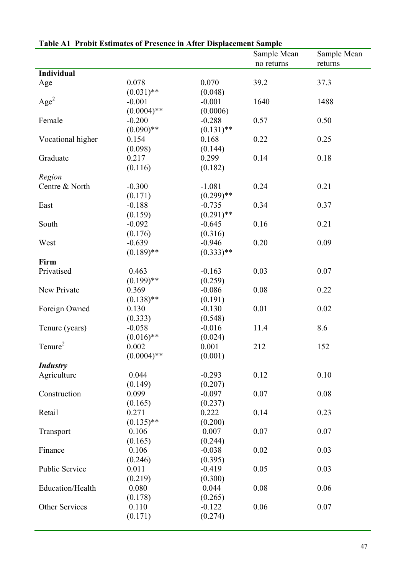|                       |               | саятеля в толле пятнатея от в сяснее не лист в крассинене заприс | Sample Mean | Sample Mean |
|-----------------------|---------------|------------------------------------------------------------------|-------------|-------------|
|                       |               |                                                                  | no returns  | returns     |
| <b>Individual</b>     |               |                                                                  |             |             |
| Age                   | 0.078         | 0.070                                                            | 39.2        | 37.3        |
|                       | $(0.031)$ **  | (0.048)                                                          |             |             |
| Age <sup>2</sup>      | $-0.001$      | $-0.001$                                                         | 1640        | 1488        |
|                       | $(0.0004)$ ** | (0.0006)                                                         |             |             |
| Female                | $-0.200$      | $-0.288$                                                         | 0.57        | 0.50        |
|                       | $(0.090)$ **  | $(0.131)$ **                                                     |             |             |
| Vocational higher     | 0.154         | 0.168                                                            | 0.22        | 0.25        |
|                       | (0.098)       | (0.144)                                                          |             |             |
| Graduate              | 0.217         | 0.299                                                            | 0.14        | 0.18        |
|                       | (0.116)       | (0.182)                                                          |             |             |
| Region                |               |                                                                  |             |             |
| Centre & North        | $-0.300$      | $-1.081$                                                         | 0.24        | 0.21        |
|                       | (0.171)       | $(0.299)$ **                                                     |             |             |
| East                  | $-0.188$      | $-0.735$                                                         | 0.34        | 0.37        |
|                       | (0.159)       | $(0.291)$ **                                                     |             |             |
| South                 | $-0.092$      | $-0.645$                                                         | 0.16        | 0.21        |
|                       | (0.176)       | (0.316)                                                          |             |             |
| West                  | $-0.639$      | $-0.946$                                                         | 0.20        | 0.09        |
|                       | $(0.189)$ **  | $(0.333)$ **                                                     |             |             |
| Firm                  |               |                                                                  |             |             |
| Privatised            | 0.463         | $-0.163$                                                         | 0.03        | 0.07        |
|                       | $(0.199)$ **  | (0.259)                                                          |             |             |
| New Private           | 0.369         | $-0.086$                                                         | 0.08        | 0.22        |
|                       | $(0.138)$ **  | (0.191)                                                          |             |             |
| Foreign Owned         | 0.130         | $-0.130$                                                         | 0.01        | 0.02        |
|                       | (0.333)       | (0.548)                                                          |             |             |
| Tenure (years)        | $-0.058$      | $-0.016$                                                         | 11.4        | 8.6         |
|                       | $(0.016)$ **  | (0.024)                                                          |             |             |
| Tenure <sup>2</sup>   | 0.002         | 0.001                                                            | 212         | 152         |
|                       | $(0.0004)$ ** | (0.001)                                                          |             |             |
| <b>Industry</b>       |               |                                                                  |             |             |
| Agriculture           | 0.044         | $-0.293$                                                         | 0.12        | 0.10        |
|                       | (0.149)       | (0.207)                                                          |             |             |
| Construction          | 0.099         | $-0.097$                                                         | 0.07        | 0.08        |
|                       | (0.165)       | (0.237)                                                          |             |             |
| Retail                | 0.271         | 0.222                                                            | 0.14        | 0.23        |
|                       | $(0.135)$ **  | (0.200)                                                          |             |             |
| Transport             | 0.106         | 0.007                                                            | 0.07        | 0.07        |
|                       | (0.165)       | (0.244)                                                          |             |             |
| Finance               | 0.106         | $-0.038$                                                         | 0.02        | 0.03        |
|                       | (0.246)       | (0.395)                                                          |             |             |
| <b>Public Service</b> | 0.011         | $-0.419$                                                         | 0.05        | 0.03        |
|                       | (0.219)       | (0.300)                                                          |             |             |
| Education/Health      | 0.080         | 0.044                                                            | 0.08        | 0.06        |
|                       | (0.178)       | (0.265)                                                          |             |             |
| Other Services        | 0.110         | $-0.122$                                                         | 0.06        | 0.07        |
|                       | (0.171)       | (0.274)                                                          |             |             |

# **Table A1 Probit Estimates of Presence in After Displacement Sample**